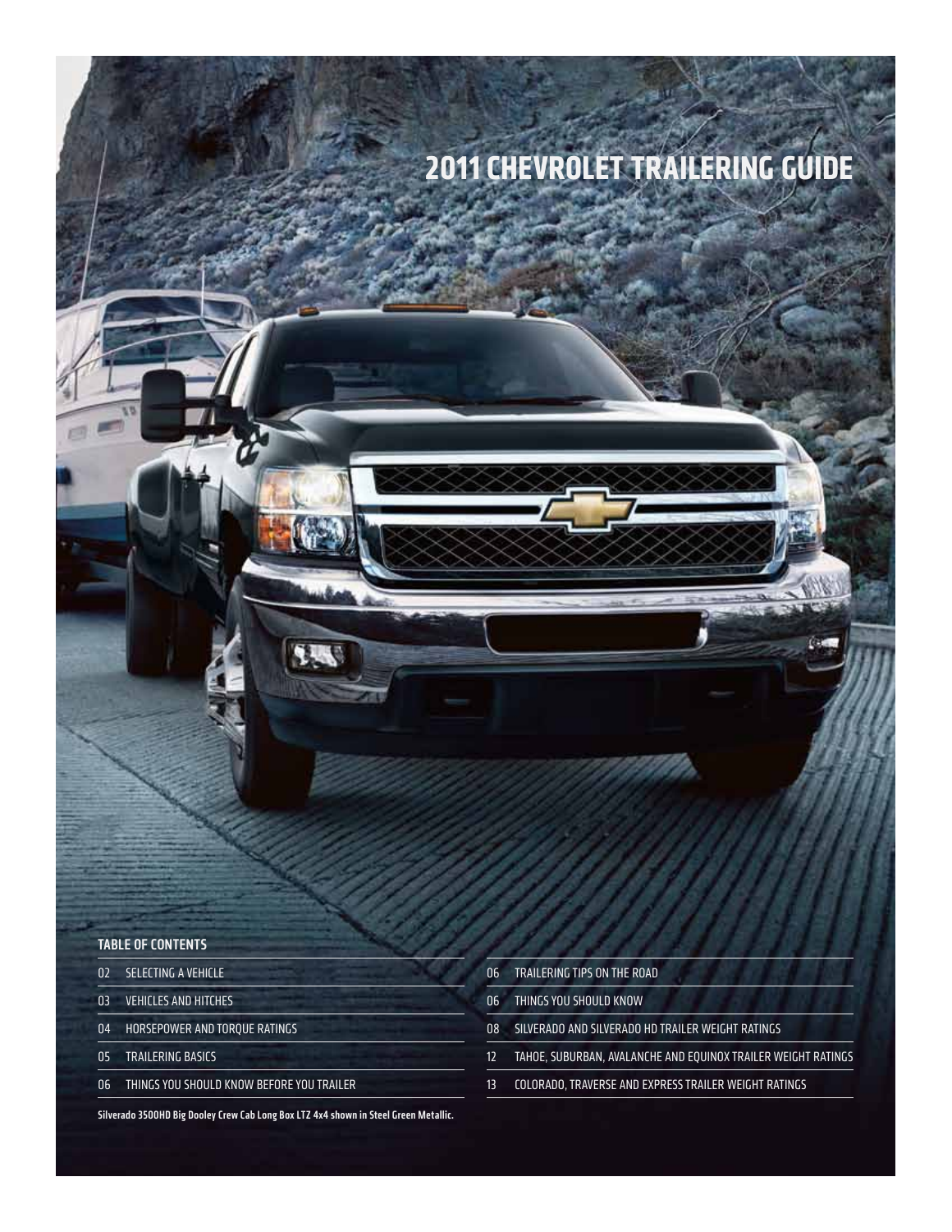# **2011 CHEVROLET TRAILERING GUIDE**

## Table of contents

- 02 SELECTING A VEHICLE
- 03 VEHICLES AND HITCHES
- 04 HORSEPOWER AND TORQUE RATINGS
- 05 TRAILERING BASICS
- 06 THINGS YOU SHOULD KNOW BEFORE YOU TRAILER

06 TRAILERING TIPS ON THE ROAD

- 06 THINGSYOU SHOULD KNOW
- 08 SILVERADO AND SILVERADO HD TRAILER WEIGHT RATINGS
- 12 TAHOE, SUBURBAN, AVALANCHE AND EQUINOX TRAILER WEIGHT RATINGS
- 13 COLORADO, TRAVERSE AND EXPRESS TRAILER WEIGHT RATINGS

Silverado 3500HD Big Dooley Crew Cab Long Box LTZ 4x4 shown in Steel Green Metallic.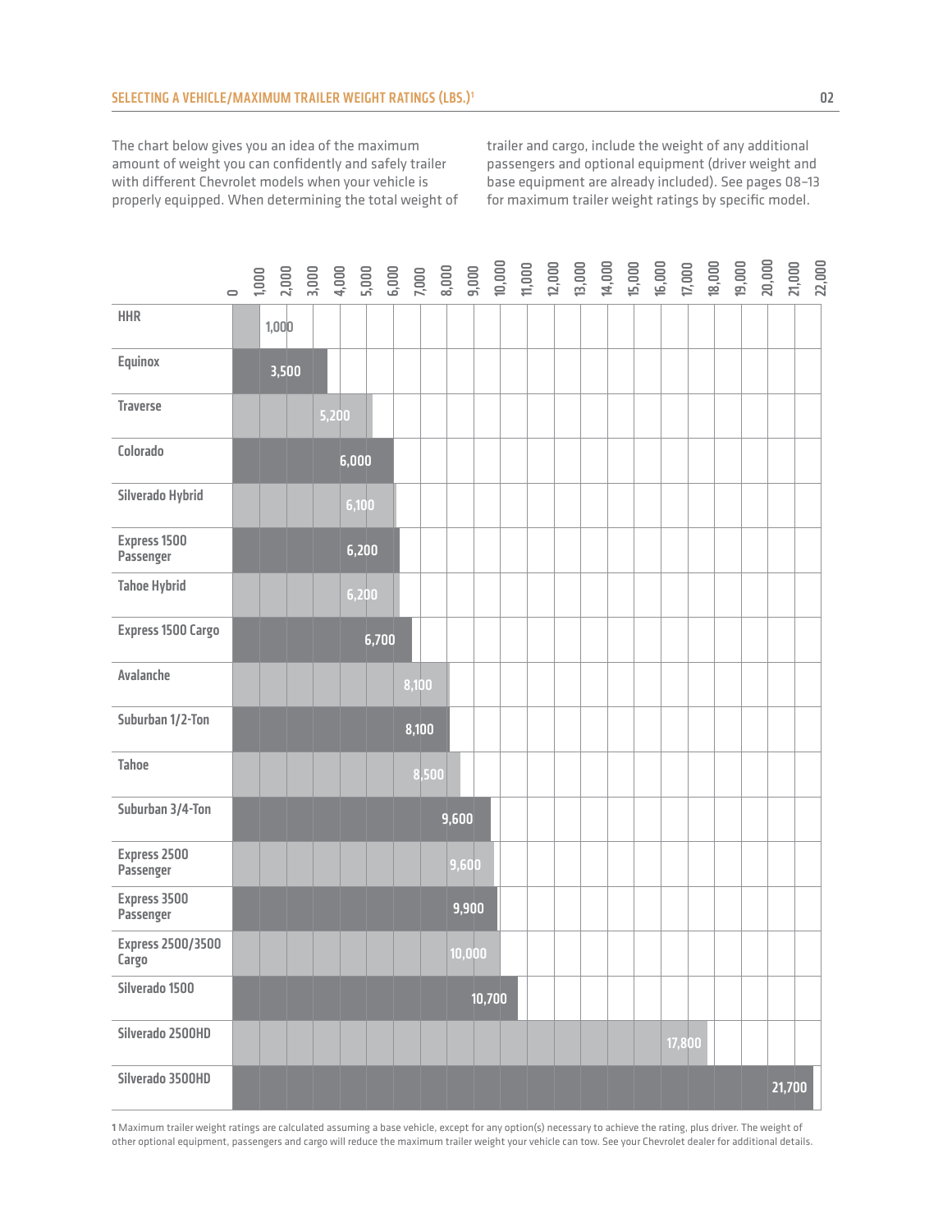The chart below gives you an idea of the maximum amount of weight you can confidently and safely trailer with different Chevrolet models when your vehicle is properly equipped. When determining the total weight of trailer and cargo, include the weight of any additional passengers and optional equipment (driver weight and base equipment are already included). See pages 08–13 for maximum trailer weight ratings by specific model.

|                                   | $\overline{\phantom{0}}$ | $\begin{array}{cccccccccc} 1.0000 & 0.0000 & 0.0000 & 0.0000 & 0.0000 & 0.0000 & 0.0000 & 0.0000 & 0.0000 & 0.0000 & 0.0000 & 0.0000 & 0.0000 & 0.0000 & 0.0000 & 0.0000 & 0.0000 & 0.0000 & 0.0000 & 0.0000 & 0.0000 & 0.0000 & 0.0000 & 0.0000 & 0.0000 & 0.0000 & 0.$ |       |       |       |       |        |        |  |  |  |        |  |        | 22,000 |
|-----------------------------------|--------------------------|--------------------------------------------------------------------------------------------------------------------------------------------------------------------------------------------------------------------------------------------------------------------------|-------|-------|-------|-------|--------|--------|--|--|--|--------|--|--------|--------|
| <b>HHR</b>                        |                          | 1,000                                                                                                                                                                                                                                                                    |       |       |       |       |        |        |  |  |  |        |  |        |        |
| Equinox                           |                          | 3,500                                                                                                                                                                                                                                                                    |       |       |       |       |        |        |  |  |  |        |  |        |        |
| <b>Traverse</b>                   |                          |                                                                                                                                                                                                                                                                          | 5,200 |       |       |       |        |        |  |  |  |        |  |        |        |
| Colorado                          |                          |                                                                                                                                                                                                                                                                          |       | 6,000 |       |       |        |        |  |  |  |        |  |        |        |
| Silverado Hybrid                  |                          |                                                                                                                                                                                                                                                                          |       | 6,100 |       |       |        |        |  |  |  |        |  |        |        |
| Express 1500<br>Passenger         |                          |                                                                                                                                                                                                                                                                          |       | 6,200 |       |       |        |        |  |  |  |        |  |        |        |
| <b>Tahoe Hybrid</b>               |                          |                                                                                                                                                                                                                                                                          |       | 6,200 |       |       |        |        |  |  |  |        |  |        |        |
| <b>Express 1500 Cargo</b>         |                          |                                                                                                                                                                                                                                                                          |       | 6,700 |       |       |        |        |  |  |  |        |  |        |        |
| Avalanche                         |                          |                                                                                                                                                                                                                                                                          |       |       | 8,100 |       |        |        |  |  |  |        |  |        |        |
| Suburban 1/2-Ton                  |                          |                                                                                                                                                                                                                                                                          |       |       | 8,100 |       |        |        |  |  |  |        |  |        |        |
| <b>Tahoe</b>                      |                          |                                                                                                                                                                                                                                                                          |       |       | 8,500 |       |        |        |  |  |  |        |  |        |        |
| Suburban 3/4-Ton                  |                          |                                                                                                                                                                                                                                                                          |       |       |       | 9,600 |        |        |  |  |  |        |  |        |        |
| Express 2500<br>Passenger         |                          |                                                                                                                                                                                                                                                                          |       |       |       |       | 9,600  |        |  |  |  |        |  |        |        |
| Express 3500<br>Passenger         |                          |                                                                                                                                                                                                                                                                          |       |       |       |       | 9,900  |        |  |  |  |        |  |        |        |
| <b>Express 2500/3500</b><br>Largo |                          |                                                                                                                                                                                                                                                                          |       |       |       |       | 10,000 |        |  |  |  |        |  |        |        |
| Silverado 1500                    |                          |                                                                                                                                                                                                                                                                          |       |       |       |       |        | 10,700 |  |  |  |        |  |        |        |
| Silverado 2500HD                  |                          |                                                                                                                                                                                                                                                                          |       |       |       |       |        |        |  |  |  | 17,800 |  |        |        |
| Silverado 3500HD                  |                          |                                                                                                                                                                                                                                                                          |       |       |       |       |        |        |  |  |  |        |  | 21,700 |        |

1 Maximum trailer weight ratings are calculated assuming a base vehicle, except for any option(s) necessary to achieve the rating, plus driver. The weight of other optional equipment, passengers and cargo will reduce the maximum trailer weight your vehicle can tow. See your Chevrolet dealer for additional details.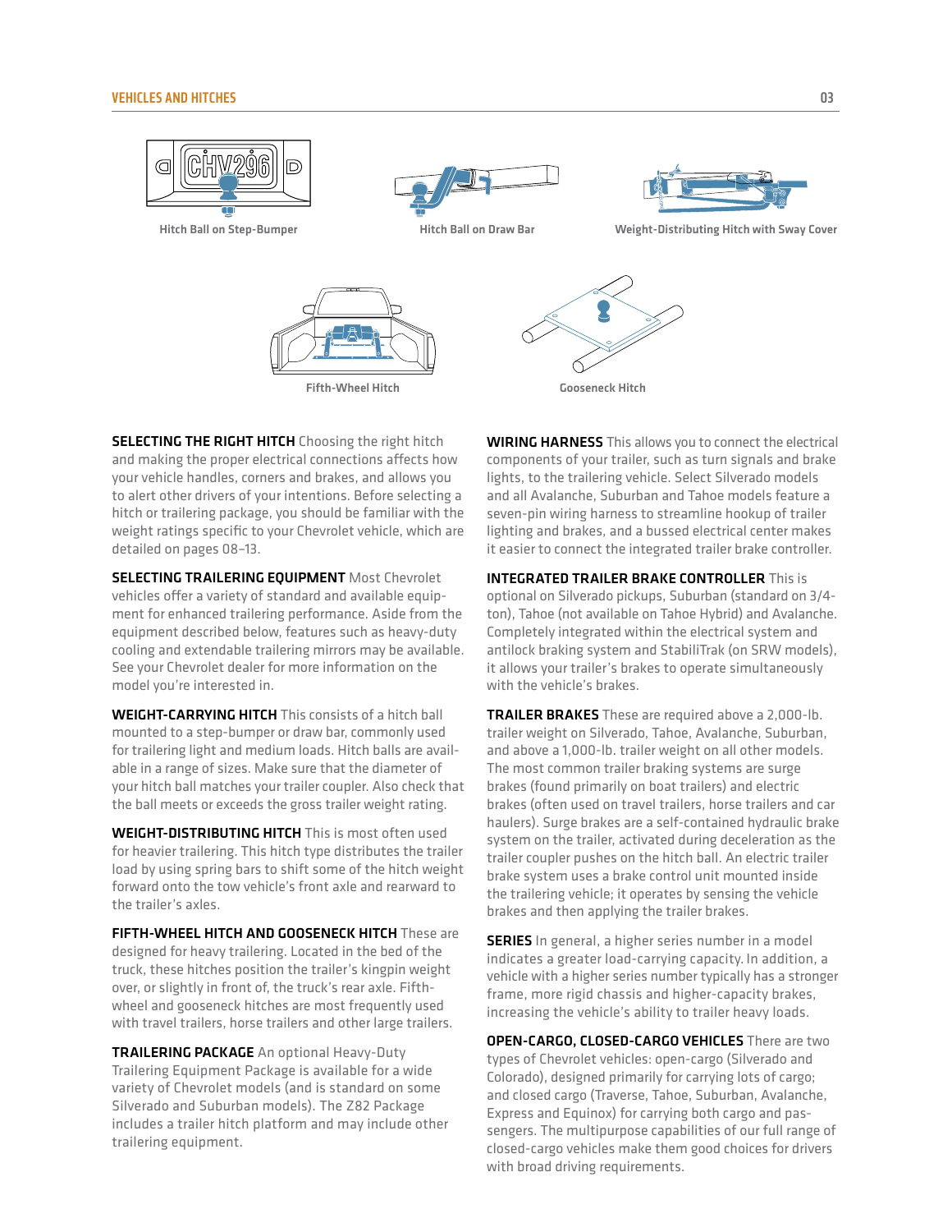

**SELECTING THE RIGHT HITCH** Choosing the right hitch and making the proper electrical connections affects how your vehicle handles, corners and brakes, and allows you to alert other drivers of your intentions. Before selecting a hitch or trailering package, you should be familiar with the weight ratings specific to your Chevrolet vehicle, which are detailed on pages 08–13.

SELECTING TRAILERING EQUIPMENT Most Chevrolet vehicles offer a variety of standard and available equipment for enhanced trailering performance. Aside from the equipment described below, features such as heavy-duty cooling and extendable trailering mirrors may be available. See your Chevrolet dealer for more information on the model you're interested in.

WEIGHT-CARRYING HITCH This consists of a hitch ball mounted to a step-bumper or draw bar, commonly used for trailering light and medium loads. Hitch balls are available in a range of sizes. Make sure that the diameter of your hitch ball matches your trailer coupler. Also check that the ball meets or exceeds the gross trailer weight rating.

WEIGHT-DISTRIBUTING HITCH This is most often used for heavier trailering. This hitch type distributes the trailer load by using spring bars to shift some of the hitch weight forward onto the tow vehicle's front axle and rearward to the trailer's axles.

FIFTH-WHEEL HITCH AND GOOSENECK HITCH These are designed for heavy trailering. Located in the bed of the truck, these hitches position the trailer's kingpin weight over, or slightly in front of, the truck's rear axle. Fifthwheel and gooseneck hitches are most frequently used with travel trailers, horse trailers and other large trailers.

TRAILERING PACKAGE An optional Heavy-Duty Trailering Equipment Package is available for a wide variety of Chevrolet models (and is standard on some Silverado and Suburban models). The Z82 Package includes a trailer hitch platform and may include other trailering equipment.

WIRING HARNESS This allows you to connect the electrical components of your trailer, such as turn signals and brake lights, to the trailering vehicle. Select Silverado models and all Avalanche, Suburban and Tahoe models feature a seven-pin wiring harness to streamline hookup of trailer lighting and brakes, and a bussed electrical center makes it easier to connect the integrated trailer brake controller.

INTEGRATED TRAILER BRAKE CONTROLLER This is optional on Silverado pickups, Suburban (standard on 3/4 ton), Tahoe (not available on Tahoe Hybrid) and Avalanche. Completely integrated within the electrical system and antilock braking system and StabiliTrak (on SRW models), it allows your trailer's brakes to operate simultaneously with the vehicle's brakes.

**TRAILER BRAKES** These are required above a 2,000-lb. trailer weight on Silverado, Tahoe, Avalanche, Suburban, and above a 1,000-lb. trailer weight on all other models. The most common trailer braking systems are surge brakes (found primarily on boat trailers) and electric brakes (often used on travel trailers, horse trailers and car haulers). Surge brakes are a self-contained hydraulic brake system on the trailer, activated during deceleration as the trailer coupler pushes on the hitch ball. An electric trailer brake system uses a brake control unit mounted inside the trailering vehicle; it operates by sensing the vehicle brakes and then applying the trailer brakes.

**SERIES** In general, a higher series number in a model indicates a greater load-carrying capacity. In addition, a vehicle with a higher series number typically has a stronger frame, more rigid chassis and higher-capacity brakes, increasing the vehicle's ability to trailer heavy loads.

OPEN-CARGO, CLOSED-CARGO VEHICLES There are two types of Chevrolet vehicles: open-cargo (Silverado and Colorado), designed primarily for carrying lots of cargo; and closed cargo (Traverse, Tahoe, Suburban, Avalanche, Express and Equinox) for carrying both cargo and passengers. The multipurpose capabilities of our full range of closed-cargo vehicles make them good choices for drivers with broad driving requirements.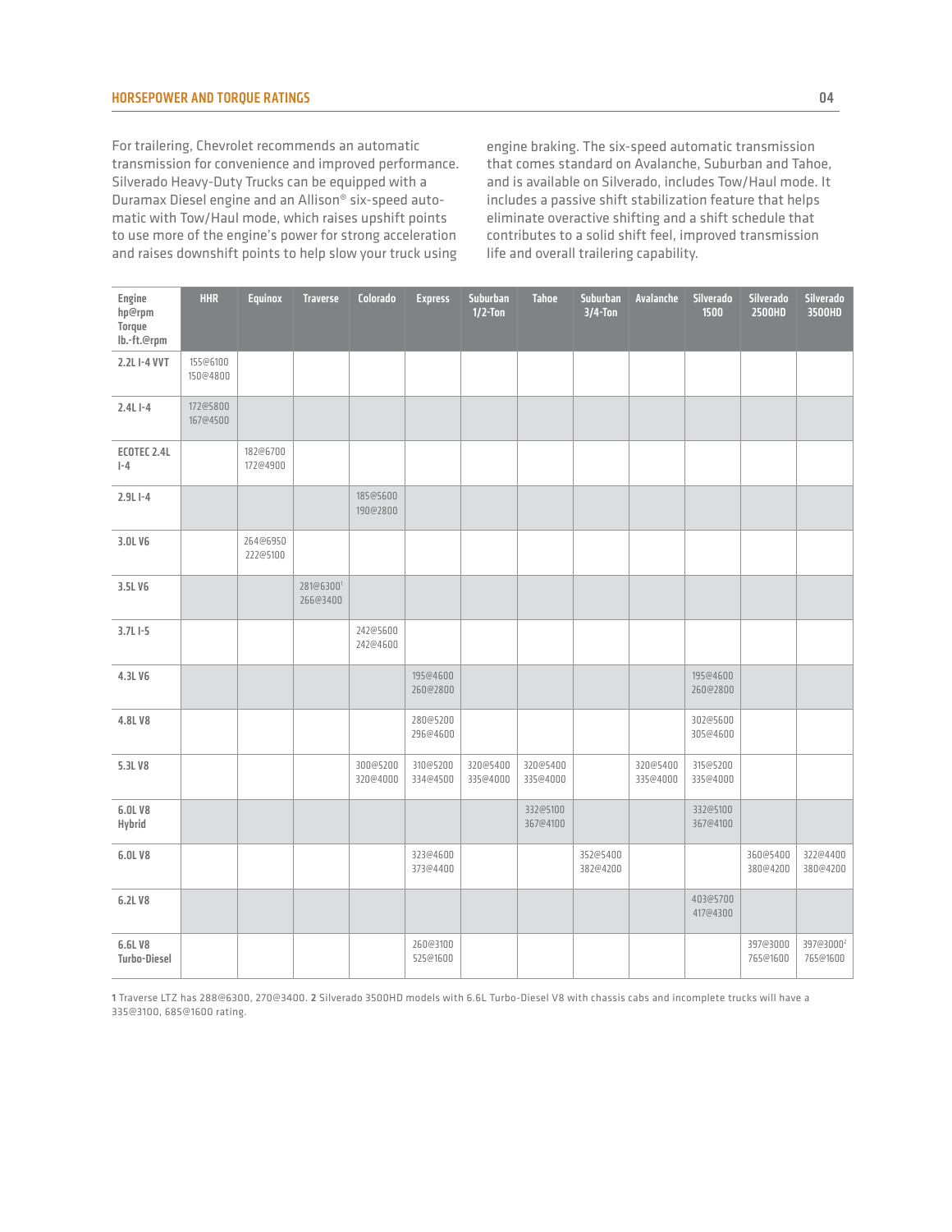For trailering, Chevrolet recommends an automatic transmission for convenience and improved performance. Silverado Heavy-Duty Trucks can be equipped with a Duramax Diesel engine and an Allison® six-speed automatic with Tow/Haul mode, which raises upshift points to use more of the engine's power for strong acceleration and raises downshift points to help slow your truck using

engine braking. The six-speed automatic transmission that comes standard on Avalanche, Suburban and Tahoe, and is available on Silverado, includes Tow/Haul mode. It includes a passive shift stabilization feature that helps eliminate overactive shifting and a shift schedule that contributes to a solid shift feel, improved transmission life and overall trailering capability.

| Engine<br>hp@rpm<br>Torque<br>lb.-ft.@rpm | <b>HHR</b>           | <b>Equinox</b>       | <b>Traverse</b>       | Colorado             | <b>Express</b>       | Suburban<br>$1/2$ -Ton | <b>Tahoe</b>         | Suburban<br>$3/4$ -Ton | Avalanche            | Silverado<br>1500    | Silverado<br>2500HD  | Silverado<br>3500HD               |
|-------------------------------------------|----------------------|----------------------|-----------------------|----------------------|----------------------|------------------------|----------------------|------------------------|----------------------|----------------------|----------------------|-----------------------------------|
| 2.2LI-4 VVT                               | 155@6100<br>150@4800 |                      |                       |                      |                      |                        |                      |                        |                      |                      |                      |                                   |
| $2.4L1 - 4$                               | 172@5800<br>167@4500 |                      |                       |                      |                      |                        |                      |                        |                      |                      |                      |                                   |
| ECOTEC 2.4L<br>$I - 4$                    |                      | 182@6700<br>172@4900 |                       |                      |                      |                        |                      |                        |                      |                      |                      |                                   |
| $2.9LI-4$                                 |                      |                      |                       | 185@5600<br>190@2800 |                      |                        |                      |                        |                      |                      |                      |                                   |
| 3.0LV6                                    |                      | 264@6950<br>222@5100 |                       |                      |                      |                        |                      |                        |                      |                      |                      |                                   |
| 3.5LV6                                    |                      |                      | 281@63001<br>266@3400 |                      |                      |                        |                      |                        |                      |                      |                      |                                   |
| $3.7L1 - 5$                               |                      |                      |                       | 242@5600<br>242@4600 |                      |                        |                      |                        |                      |                      |                      |                                   |
| 4.3LV6                                    |                      |                      |                       |                      | 195@4600<br>260@2800 |                        |                      |                        |                      | 195@4600<br>260@2800 |                      |                                   |
| 4.8LV8                                    |                      |                      |                       |                      | 280@5200<br>296@4600 |                        |                      |                        |                      | 302@5600<br>305@4600 |                      |                                   |
| 5.3L V8                                   |                      |                      |                       | 300@5200<br>320@4000 | 310@5200<br>334@4500 | 320@5400<br>335@4000   | 320@5400<br>335@4000 |                        | 320@5400<br>335@4000 | 315@5200<br>335@4000 |                      |                                   |
| 6.0L V8<br>Hybrid                         |                      |                      |                       |                      |                      |                        | 332@5100<br>367@4100 |                        |                      | 332@5100<br>367@4100 |                      |                                   |
| 6.0L V8                                   |                      |                      |                       |                      | 323@4600<br>373@4400 |                        |                      | 352@5400<br>382@4200   |                      |                      | 360@5400<br>380@4200 | 322@4400<br>380@4200              |
| 6.2L V8                                   |                      |                      |                       |                      |                      |                        |                      |                        |                      | 403@5700<br>417@4300 |                      |                                   |
| 6.6L V8<br><b>Turbo-Diesel</b>            |                      |                      |                       |                      | 260@3100<br>525@1600 |                        |                      |                        |                      |                      | 397@3000<br>765@1600 | 397@3000 <sup>2</sup><br>765@1600 |

1 Traverse LTZ has 288@6300, 270@3400. 2 Silverado 3500HD models with 6.6L Turbo-Diesel V8 with chassis cabs and incomplete trucks will have a 335@3100, 685@1600 rating.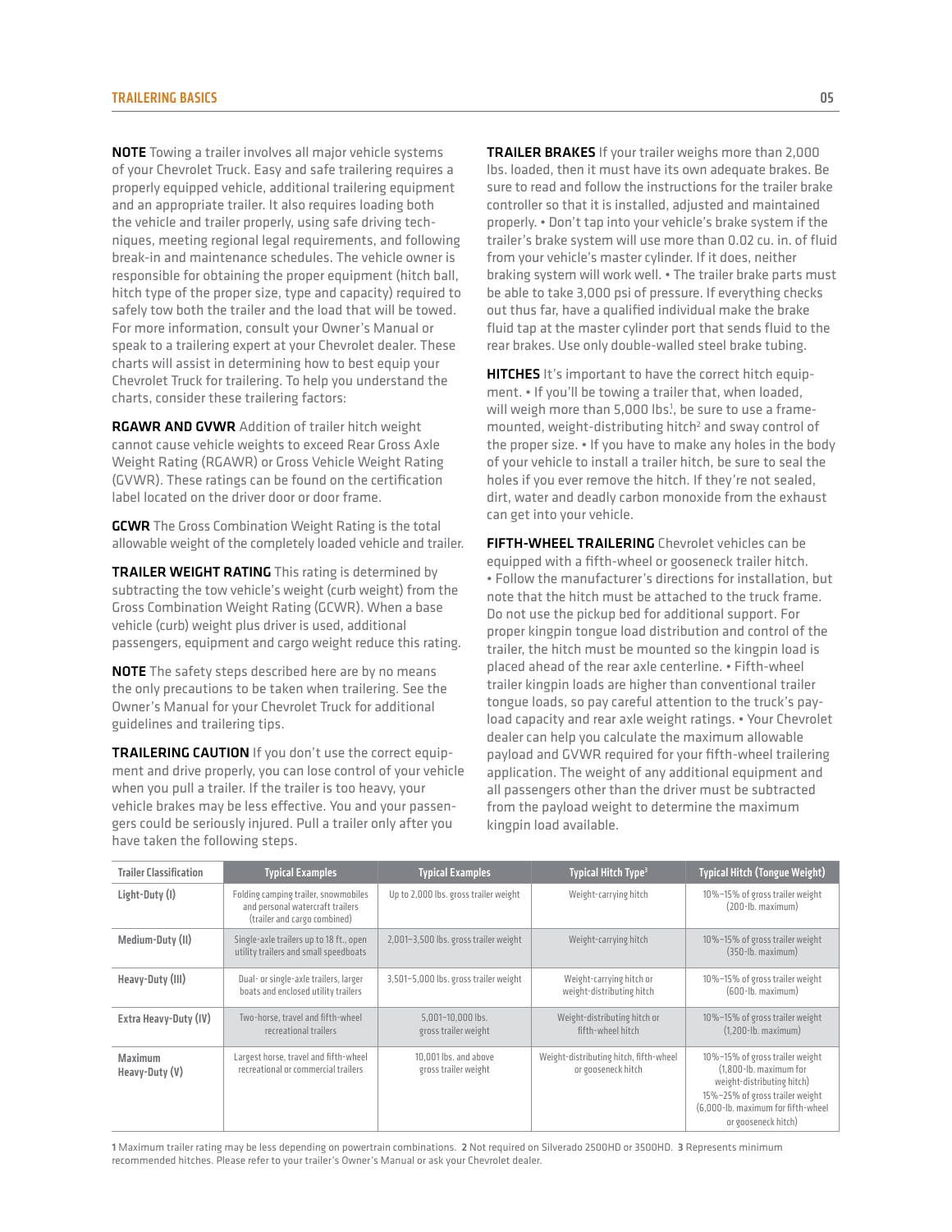NOTE Towing a trailer involves all major vehicle systems of your Chevrolet Truck. Easy and safe trailering requires a properly equipped vehicle, additional trailering equipment and an appropriate trailer. It also requires loading both the vehicle and trailer properly, using safe driving techniques, meeting regional legal requirements, and following break-in and maintenance schedules. The vehicle owner is responsible for obtaining the proper equipment (hitch ball, hitch type of the proper size, type and capacity) required to safely tow both the trailer and the load that will be towed. For more information, consult your Owner's Manual or speak to a trailering expert at your Chevrolet dealer. These charts will assist in determining how to best equip your Chevrolet Truck for trailering. To help you understand the charts, consider these trailering factors:

RGAWR AND GVWR Addition of trailer hitch weight cannot cause vehicle weights to exceed Rear Gross Axle Weight Rating (RGAWR) or Gross Vehicle Weight Rating (GVWR). These ratings can be found on the certification label located on the driver door or door frame.

**GCWR** The Gross Combination Weight Rating is the total allowable weight of the completely loaded vehicle and trailer.

TRAILER WEIGHT RATING This rating is determined by subtracting the tow vehicle's weight (curb weight) from the Gross Combination Weight Rating (GCWR). When a base vehicle (curb) weight plus driver is used, additional passengers, equipment and cargo weight reduce this rating.

**NOTE** The safety steps described here are by no means the only precautions to be taken when trailering. See the Owner's Manual for your Chevrolet Truck for additional guidelines and trailering tips.

TRAILERING CAUTION If you don't use the correct equipment and drive properly, you can lose control of your vehicle when you pull a trailer. If the trailer is too heavy, your vehicle brakes may be less effective. You and your passengers could be seriously injured. Pull a trailer only after you have taken the following steps.

TRAILER BRAKES If your trailer weighs more than 2,000 lbs. loaded, then it must have its own adequate brakes. Be sure to read and follow the instructions for the trailer brake controller so that it is installed, adjusted and maintained properly. • Don't tap into your vehicle's brake system if the trailer's brake system will use more than 0.02 cu. in. of fluid from your vehicle's master cylinder. If it does, neither braking system will work well. • The trailer brake parts must be able to take 3,000 psi of pressure. If everything checks out thus far, have a qualified individual make the brake fluid tap at the master cylinder port that sends fluid to the rear brakes. Use only double-walled steel brake tubing.

HITCHES It's important to have the correct hitch equipment. • If you'll be towing a trailer that, when loaded, will weigh more than 5,000 lbs<sup>1</sup>, be sure to use a framemounted, weight-distributing hitch<sup>2</sup> and sway control of the proper size. • If you have to make any holes in the body of your vehicle to install a trailer hitch, be sure to seal the holes if you ever remove the hitch. If they're not sealed, dirt, water and deadly carbon monoxide from the exhaust can get into your vehicle.

FIFTH-WHEEL TRAILERING Chevrolet vehicles can be equipped with a fifth-wheel or gooseneck trailer hitch. • Follow the manufacturer's directions for installation, but note that the hitch must be attached to the truck frame. Do not use the pickup bed for additional support. For proper kingpin tongue load distribution and control of the trailer, the hitch must be mounted so the kingpin load is placed ahead of the rear axle centerline. • Fifth-wheel trailer kingpin loads are higher than conventional trailer tongue loads, so pay careful attention to the truck's payload capacity and rear axle weight ratings. • Your Chevrolet dealer can help you calculate the maximum allowable payload and GVWR required for your fifth-wheel trailering application. The weight of any additional equipment and all passengers other than the driver must be subtracted from the payload weight to determine the maximum kingpin load available.

| <b>Trailer Classification</b>    | <b>Typical Examples</b>                                                                                  | <b>Typical Examples</b>                       | Typical Hitch Type <sup>3</sup>                              | <b>Typical Hitch (Tongue Weight)</b>                                                                                                                                                    |
|----------------------------------|----------------------------------------------------------------------------------------------------------|-----------------------------------------------|--------------------------------------------------------------|-----------------------------------------------------------------------------------------------------------------------------------------------------------------------------------------|
| Light-Duty (I)                   | Folding camping trailer, snowmobiles<br>and personal watercraft trailers<br>(trailer and cargo combined) | Up to 2,000 lbs. gross trailer weight         | Weight-carrying hitch                                        | 10%-15% of gross trailer weight<br>$(200 - lb. maximum)$                                                                                                                                |
| Medium-Duty (II)                 | Single-axle trailers up to 18 ft., open<br>utility trailers and small speedboats                         | 2,001-3,500 lbs. gross trailer weight         | Weight-carrying hitch                                        | 10%-15% of gross trailer weight<br>$(350 - lb. maximum)$                                                                                                                                |
| Heavy-Duty (III)                 | Dual- or single-axle trailers, larger<br>boats and enclosed utility trailers                             | 3,501-5,000 lbs. gross trailer weight         | Weight-carrying hitch or<br>weight-distributing hitch        | 10%-15% of gross trailer weight<br>$(600 - lb. maximum)$                                                                                                                                |
| Extra Heavy-Duty (IV)            | Two-horse, travel and fifth-wheel<br>recreational trailers                                               | 5,001-10,000 lbs.<br>gross trailer weight     | Weight-distributing hitch or<br>fifth-wheel hitch            | 10%-15% of gross trailer weight<br>$(1.200 - lb. maximum)$                                                                                                                              |
| <b>Maximum</b><br>Heavy-Duty (V) | Largest horse, travel and fifth-wheel<br>recreational or commercial trailers                             | 10.001 lbs. and above<br>gross trailer weight | Weight-distributing hitch, fifth-wheel<br>or gooseneck hitch | 10%-15% of gross trailer weight<br>(1.800-lb. maximum for<br>weight-distributing hitch)<br>15%-25% of gross trailer weight<br>(6,000-lb. maximum for fifth-wheel<br>or gooseneck hitch) |

1 Maximum trailer rating may be less depending on powertrain combinations. 2 Not required on Silverado 2500HD or 3500HD. 3 Represents minimum recommended hitches. Please refer to your trailer's Owner's Manual or ask your Chevrolet dealer.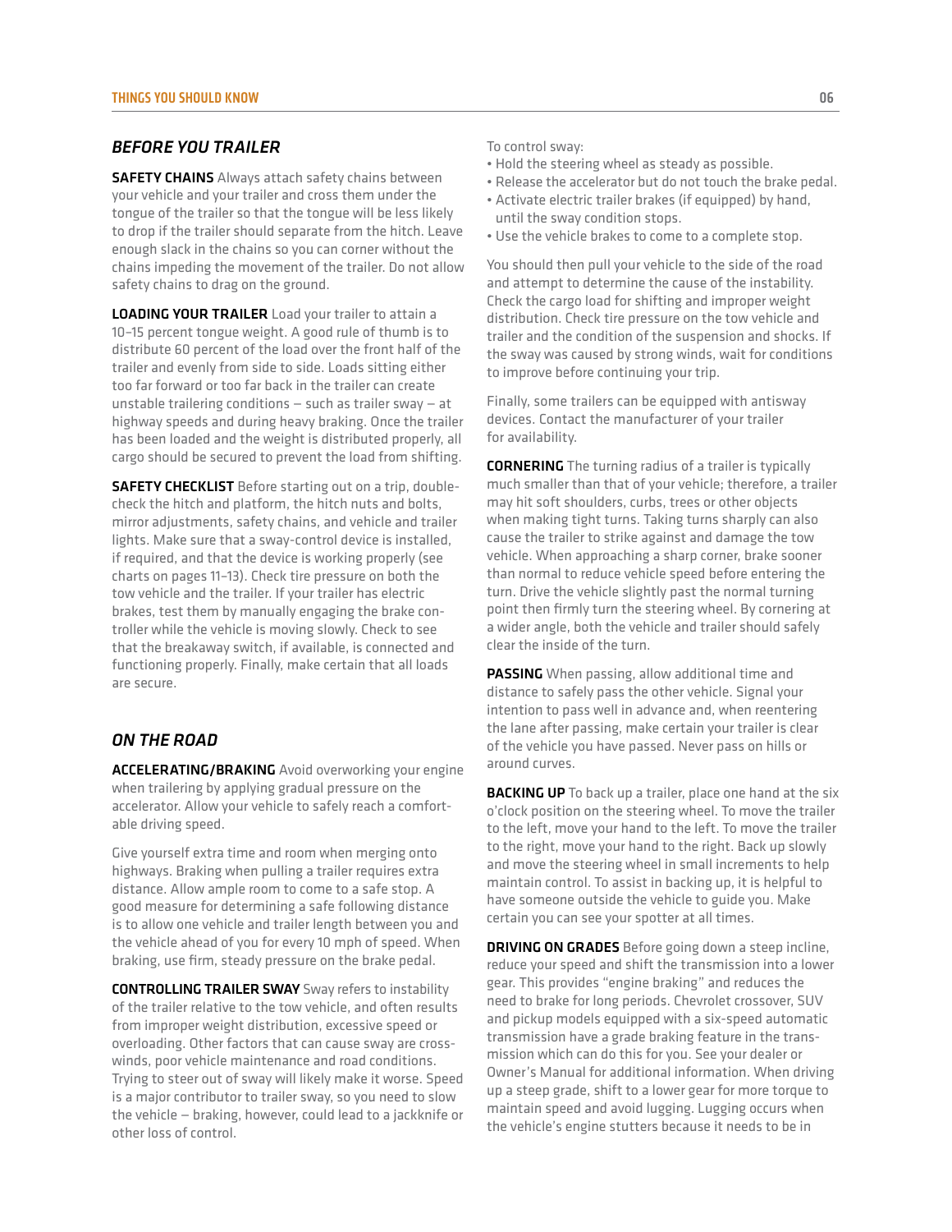# *Before you trailer*

**SAFETY CHAINS** Always attach safety chains between your vehicle and your trailer and cross them under the tongue of the trailer so that the tongue will be less likely to drop if the trailer should separate from the hitch. Leave enough slack in the chains so you can corner without the chains impeding the movement of the trailer. Do not allow safety chains to drag on the ground.

**LOADING YOUR TRAILER** Load your trailer to attain a 10–15 percent tongue weight. A good rule of thumb is to distribute 60 percent of the load over the front half of the trailer and evenly from side to side. Loads sitting either too far forward or too far back in the trailer can create unstable trailering conditions — such as trailer sway — at highway speeds and during heavy braking. Once the trailer has been loaded and the weight is distributed properly, all cargo should be secured to prevent the load from shifting.

**SAFETY CHECKLIST** Before starting out on a trip, doublecheck the hitch and platform, the hitch nuts and bolts, mirror adjustments, safety chains, and vehicle and trailer lights. Make sure that a sway-control device is installed, if required, and that the device is working properly (see charts on pages 11–13). Check tire pressure on both the tow vehicle and the trailer. If your trailer has electric brakes, test them by manually engaging the brake controller while the vehicle is moving slowly. Check to see that the breakaway switch, if available, is connected and functioning properly. Finally, make certain that all loads are secure.

# *On the road*

ACCELERATING/BRAKING Avoid overworking your engine when trailering by applying gradual pressure on the accelerator. Allow your vehicle to safely reach a comfortable driving speed.

Give yourself extra time and room when merging onto highways. Braking when pulling a trailer requires extra distance. Allow ample room to come to a safe stop. A good measure for determining a safe following distance is to allow one vehicle and trailer length between you and the vehicle ahead of you for every 10 mph of speed. When braking, use firm, steady pressure on the brake pedal.

CONTROLLING TRAILER SWAY Sway refers to instability of the trailer relative to the tow vehicle, and often results from improper weight distribution, excessive speed or overloading. Other factors that can cause sway are crosswinds, poor vehicle maintenance and road conditions. Trying to steer out of sway will likely make it worse. Speed is a major contributor to trailer sway, so you need to slow the vehicle — braking, however, could lead to a jackknife or other loss of control.

To control sway:

- Hold the steering wheel as steady as possible.
- Release the accelerator but do not touch the brake pedal.
- Activate electric trailer brakes (if equipped) by hand, until the sway condition stops.
- Use the vehicle brakes to come to a complete stop.

You should then pull your vehicle to the side of the road and attempt to determine the cause of the instability. Check the cargo load for shifting and improper weight distribution. Check tire pressure on the tow vehicle and trailer and the condition of the suspension and shocks. If the sway was caused by strong winds, wait for conditions to improve before continuing your trip.

Finally, some trailers can be equipped with antisway devices. Contact the manufacturer of your trailer for availability.

CORNERING The turning radius of a trailer is typically much smaller than that of your vehicle; therefore, a trailer may hit soft shoulders, curbs, trees or other objects when making tight turns. Taking turns sharply can also cause the trailer to strike against and damage the tow vehicle. When approaching a sharp corner, brake sooner than normal to reduce vehicle speed before entering the turn. Drive the vehicle slightly past the normal turning point then firmly turn the steering wheel. By cornering at a wider angle, both the vehicle and trailer should safely clear the inside of the turn.

PASSING When passing, allow additional time and distance to safely pass the other vehicle. Signal your intention to pass well in advance and, when reentering the lane after passing, make certain your trailer is clear of the vehicle you have passed. Never pass on hills or around curves.

**BACKING UP** To back up a trailer, place one hand at the six o'clock position on the steering wheel. To move the trailer to the left, move your hand to the left. To move the trailer to the right, move your hand to the right. Back up slowly and move the steering wheel in small increments to help maintain control. To assist in backing up, it is helpful to have someone outside the vehicle to guide you. Make certain you can see your spotter at all times.

**DRIVING ON GRADES** Before going down a steep incline, reduce your speed and shift the transmission into a lower gear. This provides "engine braking" and reduces the need to brake for long periods. Chevrolet crossover, SUV and pickup models equipped with a six-speed automatic transmission have a grade braking feature in the transmission which can do this for you. See your dealer or Owner's Manual for additional information. When driving up a steep grade, shift to a lower gear for more torque to maintain speed and avoid lugging. Lugging occurs when the vehicle's engine stutters because it needs to be in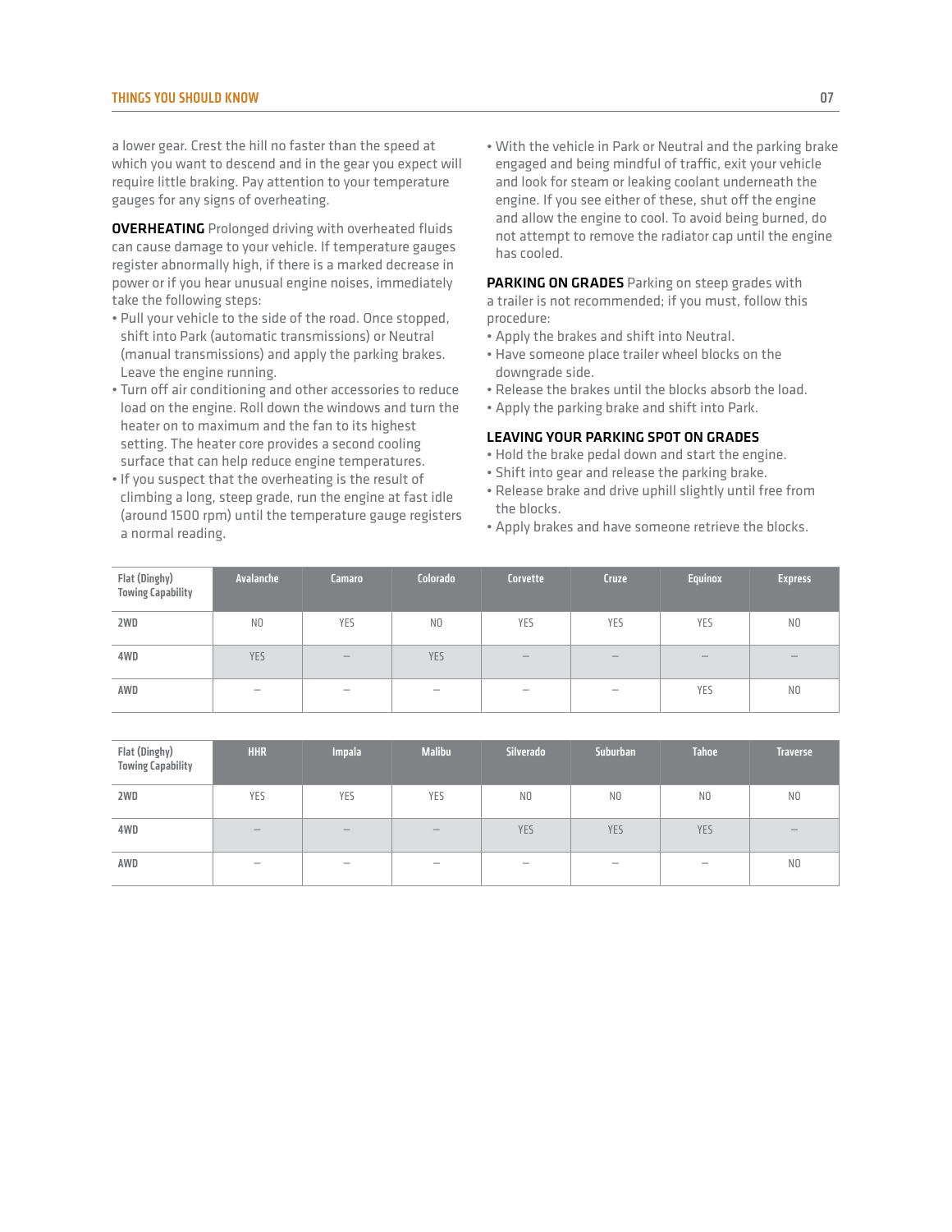a lower gear. Crest the hill no faster than the speed at which you want to descend and in the gear you expect will require little braking. Pay attention to your temperature gauges for any signs of overheating.

**OVERHEATING** Prolonged driving with overheated fluids can cause damage to your vehicle. If temperature gauges register abnormally high, if there is a marked decrease in power or if you hear unusual engine noises, immediately take the following steps:

- Pull your vehicle to the side of the road. Once stopped, shift into Park (automatic transmissions) or Neutral (manual transmissions) and apply the parking brakes. Leave the engine running.
- Turn off air conditioning and other accessories to reduce load on the engine. Roll down the windows and turn the heater on to maximum and the fan to its highest setting. The heater core provides a second cooling surface that can help reduce engine temperatures.
- If you suspect that the overheating is the result of climbing a long, steep grade, run the engine at fast idle (around 1500 rpm) until the temperature gauge registers a normal reading.

• With the vehicle in Park or Neutral and the parking brake engaged and being mindful of traffic, exit your vehicle and look for steam or leaking coolant underneath the engine. If you see either of these, shut off the engine and allow the engine to cool. To avoid being burned, do not attempt to remove the radiator cap until the engine has cooled.

PARKING ON GRADES Parking on steep grades with a trailer is not recommended; if you must, follow this procedure:

- Apply the brakes and shift into Neutral.
- Have someone place trailer wheel blocks on the downgrade side.
- Release the brakes until the blocks absorb the load.
- Apply the parking brake and shift into Park.

## LEAVING YOUR PARKING SPOT ON GRADES

- Hold the brake pedal down and start the engine.
- Shift into gear and release the parking brake.
- Release brake and drive uphill slightly until free from the blocks.
- Apply brakes and have someone retrieve the blocks.

| Flat (Dinghy)<br><b>Towing Capability</b> | Avalanche                | Camaro | Colorado       | <b>Corvette</b>                       | <b>Cruze</b> | <b>Equinox</b> | <b>Express</b> |
|-------------------------------------------|--------------------------|--------|----------------|---------------------------------------|--------------|----------------|----------------|
| 2WD                                       | N <sub>0</sub>           | YES    | N <sub>0</sub> | YES                                   | YES          | YES            | N <sub>0</sub> |
| 4WD                                       | YES                      | -      | YES            | $\hspace{0.1mm}-\hspace{0.1mm}$       | $-$          |                |                |
| AWD                                       | $\overline{\phantom{a}}$ |        |                | $\hspace{1.0cm} \rule{1.5cm}{0.15cm}$ |              | YES            | N <sub>0</sub> |

| Flat (Dinghy)<br><b>Towing Capability</b> | <b>HHR</b>               | <b>Impala</b> | <b>Malibu</b>                             | Silverado                | Suburban                 | <b>Tahoe</b>             | <b>Traverse</b> |
|-------------------------------------------|--------------------------|---------------|-------------------------------------------|--------------------------|--------------------------|--------------------------|-----------------|
| 2WD                                       | YES                      | YES           | YES                                       | N <sub>0</sub>           | N <sub>0</sub>           | N <sub>0</sub>           | N <sub>0</sub>  |
| 4WD                                       | $\overline{\phantom{a}}$ | -             | $\qquad \qquad \overline{\qquad \qquad }$ | YES                      | <b>YES</b>               | <b>YES</b>               |                 |
| AWD                                       | $\sim$                   | -             | $\overline{\phantom{a}}$                  | $\overline{\phantom{a}}$ | $\overline{\phantom{a}}$ | $\overline{\phantom{a}}$ | N <sub>0</sub>  |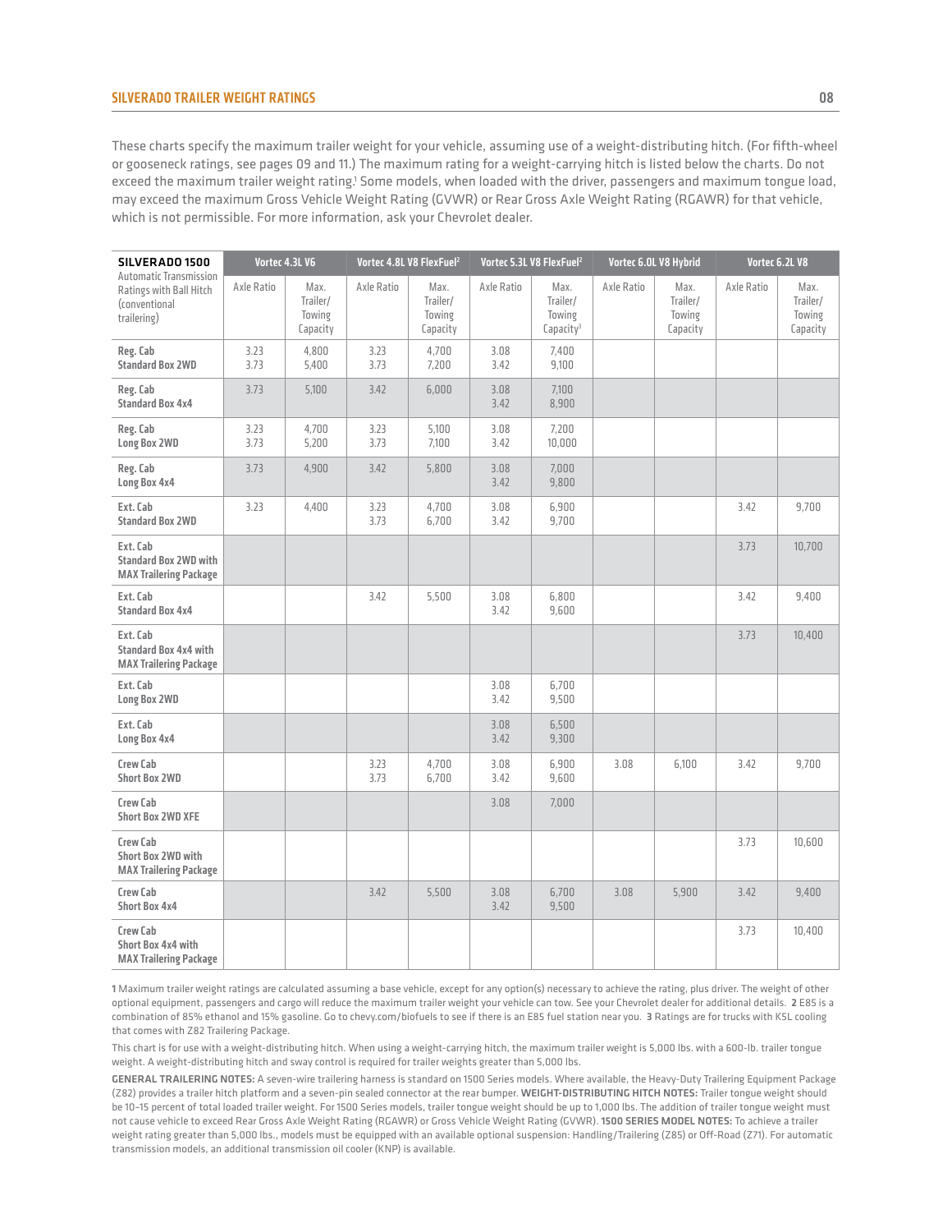## silverado Trailer weight ratings 08

These charts specify the maximum trailer weight for your vehicle, assuming use of a weight-distributing hitch. (For fifth-wheel or gooseneck ratings, see pages 09 and 11.) The maximum rating for a weight-carrying hitch is listed below the charts. Do not exceed the maximum trailer weight rating.<sup>1</sup> Some models, when loaded with the driver, passengers and maximum tongue load, may exceed the maximum Gross Vehicle Weight Rating (GVWR) or Rear Gross Axle Weight Rating (RGAWR) for that vehicle, which is not permissible. For more information, ask your Chevrolet dealer.

| SILVERADO 1500                                                                    |              | Vortec 4.3L V6                         |              | Vortec 4.8L V8 FlexFuel <sup>2</sup>   | Vortec 5.3L V8 FlexFuel <sup>2</sup> |                                                     |            | Vortec 6.0L V8 Hybrid                  | Vortec 6.2L V8 |                                        |
|-----------------------------------------------------------------------------------|--------------|----------------------------------------|--------------|----------------------------------------|--------------------------------------|-----------------------------------------------------|------------|----------------------------------------|----------------|----------------------------------------|
| Automatic Transmission<br>Ratings with Ball Hitch<br>(conventional<br>trailering) | Axle Ratio   | Max.<br>Trailer/<br>Towing<br>Capacity | Axle Ratio   | Max.<br>Trailer/<br>Towing<br>Capacity | Axle Ratio                           | Max.<br>Trailer/<br>Towing<br>Capacity <sup>3</sup> | Axle Ratio | Max.<br>Trailer/<br>Towing<br>Capacity | Axle Ratio     | Max.<br>Trailer/<br>Towing<br>Capacity |
| Reg. Cab<br><b>Standard Box 2WD</b>                                               | 3.23<br>3.73 | 4,800<br>5,400                         | 3.23<br>3.73 | 4,700<br>7,200                         | 3.08<br>3.42                         | 7,400<br>9,100                                      |            |                                        |                |                                        |
| Reg. Cab<br><b>Standard Box 4x4</b>                                               | 3.73         | 5,100                                  | 3.42         | 6,000                                  | 3.08<br>3.42                         | 7,100<br>8,900                                      |            |                                        |                |                                        |
| Reg. Cab<br>Long Box 2WD                                                          | 3.23<br>3.73 | 4,700<br>5,200                         | 3.23<br>3.73 | 5,100<br>7.100                         | 3.08<br>3.42                         | 7,200<br>10,000                                     |            |                                        |                |                                        |
| Reg. Cab<br>Long Box 4x4                                                          | 3.73         | 4,900                                  | 3.42         | 5,800                                  | 3.08<br>3.42                         | 7,000<br>9,800                                      |            |                                        |                |                                        |
| Ext. Cab<br><b>Standard Box 2WD</b>                                               | 3.23         | 4,400                                  | 3.23<br>3.73 | 4.700<br>6,700                         | 3.08<br>3.42                         | 6,900<br>9,700                                      |            |                                        | 3.42           | 9.700                                  |
| Ext. Cab<br><b>Standard Box 2WD with</b><br><b>MAX Trailering Package</b>         |              |                                        |              |                                        |                                      |                                                     |            |                                        | 3.73           | 10,700                                 |
| Ext. Cab<br><b>Standard Box 4x4</b>                                               |              |                                        | 3.42         | 5,500                                  | 3.08<br>3.42                         | 6,800<br>9,600                                      |            |                                        | 3.42           | 9,400                                  |
| Ext. Cab<br>Standard Box 4x4 with<br><b>MAX Trailering Package</b>                |              |                                        |              |                                        |                                      |                                                     |            |                                        | 3.73           | 10,400                                 |
| Ext. Cab<br>Long Box 2WD                                                          |              |                                        |              |                                        | 3.08<br>3.42                         | 6,700<br>9,500                                      |            |                                        |                |                                        |
| Ext. Cab<br>Long Box 4x4                                                          |              |                                        |              |                                        | 3.08<br>3.42                         | 6,500<br>9,300                                      |            |                                        |                |                                        |
| Crew Cab<br><b>Short Box 2WD</b>                                                  |              |                                        | 3.23<br>3.73 | 4,700<br>6,700                         | 3.08<br>3.42                         | 6,900<br>9,600                                      | 3.08       | 6,100                                  | 3.42           | 9,700                                  |
| Crew Cab<br><b>Short Box 2WD XFE</b>                                              |              |                                        |              |                                        | 3.08                                 | 7,000                                               |            |                                        |                |                                        |
| Crew Cab<br>Short Box 2WD with<br><b>MAX Trailering Package</b>                   |              |                                        |              |                                        |                                      |                                                     |            |                                        | 3.73           | 10,600                                 |
| Crew Cab<br><b>Short Box 4x4</b>                                                  |              |                                        | 3.42         | 5,500                                  | 3.08<br>3.42                         | 6,700<br>9,500                                      | 3.08       | 5,900                                  | 3.42           | 9,400                                  |
| Crew Cab<br>Short Box 4x4 with<br><b>MAX Trailering Package</b>                   |              |                                        |              |                                        |                                      |                                                     |            |                                        | 3.73           | 10,400                                 |

1 Maximum trailer weight ratings are calculated assuming a base vehicle, except for any option(s) necessary to achieve the rating, plus driver. The weight of other optional equipment, passengers and cargo will reduce the maximum trailer weight your vehicle can tow. See your Chevrolet dealer for additional details. 2 E85 is a combination of 85% ethanol and 15% gasoline. Go to chevy.com/biofuels to see if there is an E85 fuel station near you. 3 Ratings are for trucks with K5L cooling that comes with Z82 Trailering Package.

This chart is for use with a weight-distributing hitch. When using a weight-carrying hitch, the maximum trailer weight is 5,000 lbs. with a 600-lb. trailer tongue weight. A weight-distributing hitch and sway control is required for trailer weights greater than 5,000 lbs.

GENERAL TRAILERING NOTES: A seven-wire trailering harness is standard on 1500 Series models. Where available, the Heavy-Duty Trailering Equipment Package (Z82) provides a trailer hitch platform and a seven-pin sealed connector at the rear bumper. WEIGHT-DISTRIBUTING HITCH NOTES: Trailer tongue weight should be 10–15 percent of total loaded trailer weight. For 1500 Series models, trailer tongue weight should be up to 1,000 lbs. The addition of trailer tongue weight must not cause vehicle to exceed Rear Gross Axle Weight Rating (RGAWR) or Gross Vehicle Weight Rating (GVWR). 1500 SERIES MODEL NOTES: To achieve a trailer weight rating greater than 5,000 lbs., models must be equipped with an available optional suspension: Handling/Trailering (Z85) or Off-Road (Z71). For automatic transmission models, an additional transmission oil cooler (KNP) is available.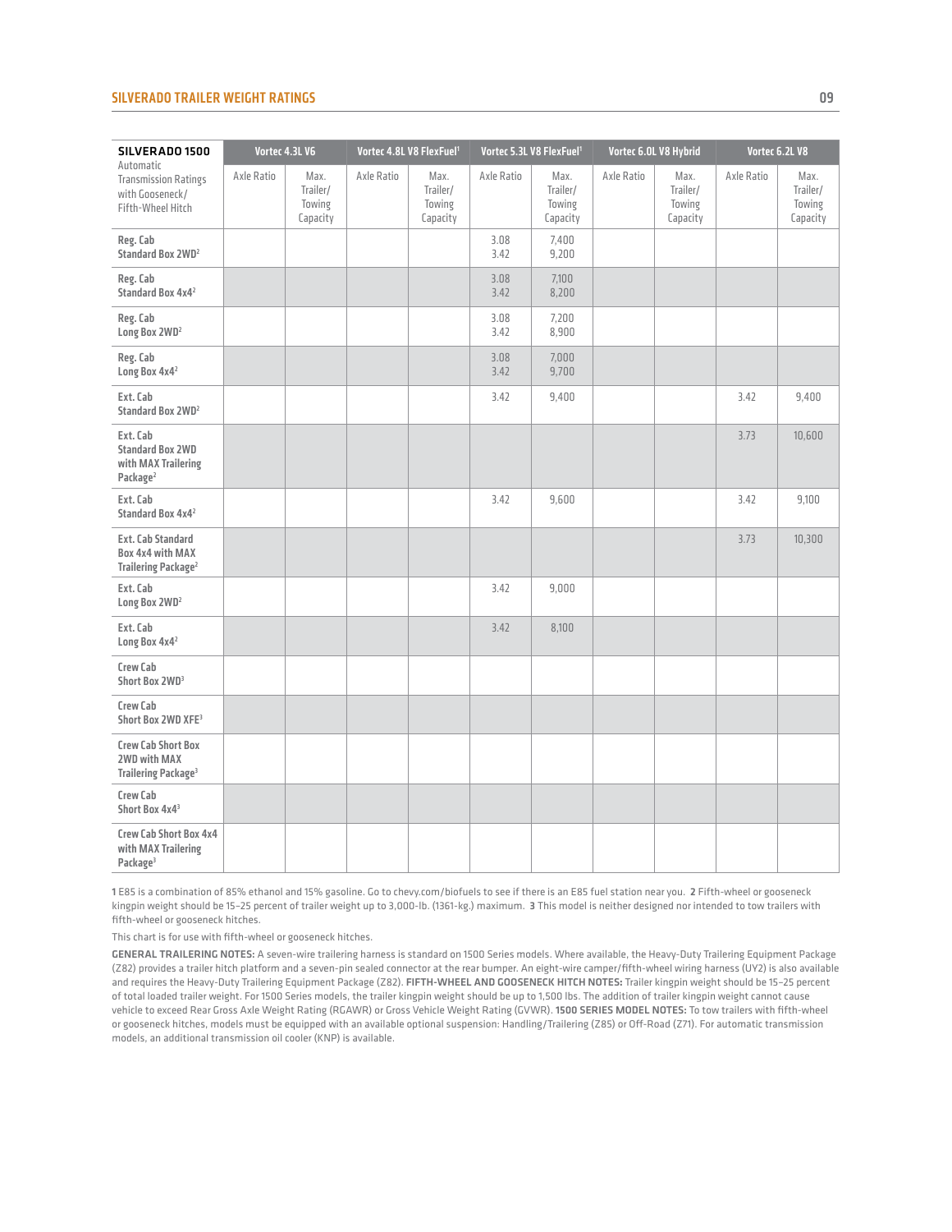#### Silverado Trailer weight ratings 09

| SILVERADO 1500                                                                     |            | Vortec 4.3L V6                         | Vortec 4.8L V8 FlexFuel <sup>1</sup> |                                        |              | Vortec 5.3L V8 FlexFuel <sup>1</sup>   |            | Vortec 6.0L V8 Hybrid                  |            | Vortec 6.2L V8                         |
|------------------------------------------------------------------------------------|------------|----------------------------------------|--------------------------------------|----------------------------------------|--------------|----------------------------------------|------------|----------------------------------------|------------|----------------------------------------|
| Automatic<br><b>Transmission Ratings</b><br>with Gooseneck/<br>Fifth-Wheel Hitch   | Axle Ratio | Max.<br>Trailer/<br>Towing<br>Capacity | Axle Ratio                           | Max.<br>Trailer/<br>Towing<br>Capacity | Axle Ratio   | Max.<br>Trailer/<br>Towing<br>Capacity | Axle Ratio | Max.<br>Trailer/<br>Towing<br>Capacity | Axle Ratio | Max.<br>Trailer/<br>Towing<br>Capacity |
| Reg. Cab<br>Standard Box 2WD <sup>2</sup>                                          |            |                                        |                                      |                                        | 3.08<br>3.42 | 7,400<br>9,200                         |            |                                        |            |                                        |
| Reg. Cab<br>Standard Box 4x4 <sup>2</sup>                                          |            |                                        |                                      |                                        | 3.08<br>3.42 | 7.100<br>8,200                         |            |                                        |            |                                        |
| Reg. Cab<br>Long Box 2WD <sup>2</sup>                                              |            |                                        |                                      |                                        | 3.08<br>3.42 | 7.200<br>8,900                         |            |                                        |            |                                        |
| Reg. Cab<br>Long Box 4x4 <sup>2</sup>                                              |            |                                        |                                      |                                        | 3.08<br>3.42 | 7,000<br>9,700                         |            |                                        |            |                                        |
| Ext. Cab<br>Standard Box 2WD <sup>2</sup>                                          |            |                                        |                                      |                                        | 3.42         | 9,400                                  |            |                                        | 3.42       | 9,400                                  |
| Ext. Cab<br><b>Standard Box 2WD</b><br>with MAX Trailering<br>Package <sup>2</sup> |            |                                        |                                      |                                        |              |                                        |            |                                        | 3.73       | 10,600                                 |
| Ext. Cab<br>Standard Box 4x4 <sup>2</sup>                                          |            |                                        |                                      |                                        | 3.42         | 9.600                                  |            |                                        | 3.42       | 9.100                                  |
| Ext. Cab Standard<br>Box 4x4 with MAX<br>Trailering Package <sup>2</sup>           |            |                                        |                                      |                                        |              |                                        |            |                                        | 3.73       | 10.300                                 |
| Ext. Cab<br>Long Box 2WD <sup>2</sup>                                              |            |                                        |                                      |                                        | 3.42         | 9.000                                  |            |                                        |            |                                        |
| Ext. Cab<br>Long Box 4x4 <sup>2</sup>                                              |            |                                        |                                      |                                        | 3.42         | 8,100                                  |            |                                        |            |                                        |
| Crew Cab<br>Short Box 2WD <sup>3</sup>                                             |            |                                        |                                      |                                        |              |                                        |            |                                        |            |                                        |
| Crew Cab<br>Short Box 2WD XFE3                                                     |            |                                        |                                      |                                        |              |                                        |            |                                        |            |                                        |
| <b>Crew Cab Short Box</b><br>2WD with MAX<br>Trailering Package <sup>3</sup>       |            |                                        |                                      |                                        |              |                                        |            |                                        |            |                                        |
| Crew Cab<br>Short Box 4x4 <sup>3</sup>                                             |            |                                        |                                      |                                        |              |                                        |            |                                        |            |                                        |
| Crew Cab Short Box 4x4<br>with MAX Trailering<br>Package <sup>3</sup>              |            |                                        |                                      |                                        |              |                                        |            |                                        |            |                                        |

1 E85 is a combination of 85% ethanol and 15% gasoline. Go to chevy.com/biofuels to see if there is an E85 fuel station near you. 2 Fifth-wheel or gooseneck kingpin weight should be 15–25 percent of trailer weight up to 3,000-lb. (1361-kg.) maximum. 3 This model is neither designed nor intended to tow trailers with fifth-wheel or gooseneck hitches.

This chart is for use with fifth-wheel or gooseneck hitches.

GENERAL TRAILERING NOTES: A seven-wire trailering harness is standard on 1500 Series models. Where available, the Heavy-Duty Trailering Equipment Package (Z82) provides a trailer hitch platform and a seven-pin sealed connector at the rear bumper. An eight-wire camper/fifth-wheel wiring harness (UY2) is also available and requires the Heavy-Duty Trailering Equipment Package (Z82). FIFTH-WHEEL AND GOOSENECK HITCH NOTES**:** Trailer kingpin weight should be 15–25 percent of total loaded trailer weight. For 1500 Series models, the trailer kingpin weight should be up to 1,500 lbs. The addition of trailer kingpin weight cannot cause vehicle to exceed Rear Gross Axle Weight Rating (RGAWR) or Gross Vehicle Weight Rating (GVWR). 1500 SERIES MODEL NOTES: To tow trailers with fifth-wheel or gooseneck hitches, models must be equipped with an available optional suspension: Handling/Trailering (Z85) or Off-Road (Z71). For automatic transmission models, an additional transmission oil cooler (KNP) is available.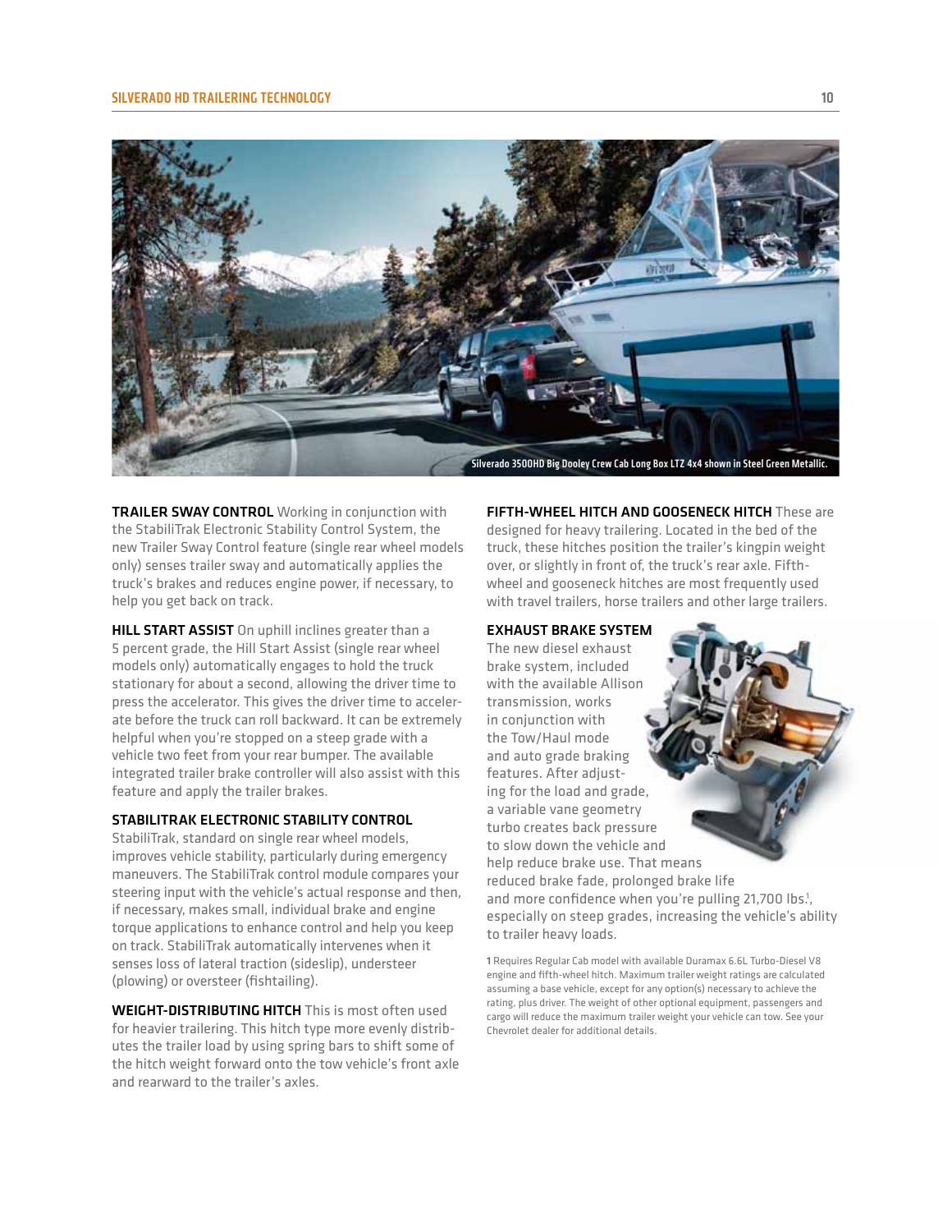#### SILVERADO HD TRAILERING TECHNOLOGY 10



TRAILER SWAY CONTROL Working in conjunction with the StabiliTrak Electronic Stability Control System, the new Trailer Sway Control feature (single rear wheel models only) senses trailer sway and automatically applies the truck's brakes and reduces engine power, if necessary, to help you get back on track.

HILL START ASSIST On uphill inclines greater than a 5 percent grade, the Hill Start Assist (single rear wheel models only) automatically engages to hold the truck stationary for about a second, allowing the driver time to press the accelerator. This gives the driver time to accelerate before the truck can roll backward. It can be extremely helpful when you're stopped on a steep grade with a vehicle two feet from your rear bumper. The available integrated trailer brake controller will also assist with this feature and apply the trailer brakes.

# stabilitrak electronic stability control

StabiliTrak, standard on single rear wheel models, improves vehicle stability, particularly during emergency maneuvers. The StabiliTrak control module compares your steering input with the vehicle's actual response and then, if necessary, makes small, individual brake and engine torque applications to enhance control and help you keep on track. StabiliTrak automatically intervenes when it senses loss of lateral traction (sideslip), understeer (plowing) or oversteer (fishtailing).

WEIGHT-DISTRIBUTING HITCH This is most often used for heavier trailering. This hitch type more evenly distributes the trailer load by using spring bars to shift some of the hitch weight forward onto the tow vehicle's front axle and rearward to the trailer's axles.

**FIFTH-WHEEL HITCH AND GOOSENECK HITCH These are** designed for heavy trailering. Located in the bed of the truck, these hitches position the trailer's kingpin weight over, or slightly in front of, the truck's rear axle. Fifthwheel and gooseneck hitches are most frequently used with travel trailers, horse trailers and other large trailers.

## Exhaust Brake System

The new diesel exhaust brake system, included with the available Allison transmission, works in conjunction with the Tow/Haul mode and auto grade braking features. After adjusting for the load and grade, a variable vane geometry turbo creates back pressure to slow down the vehicle and help reduce brake use. That means reduced brake fade, prolonged brake life and more confidence when you're pulling 21,700 lbs.<sup>1</sup>, especially on steep grades, increasing the vehicle's ability to trailer heavy loads.

1 Requires Regular Cab model with available Duramax 6.6L Turbo-Diesel V8 engine and fifth-wheel hitch. Maximum trailer weight ratings are calculated assuming a base vehicle, except for any option(s) necessary to achieve the rating, plus driver. The weight of other optional equipment, passengers and cargo will reduce the maximum trailer weight your vehicle can tow. See your Chevrolet dealer for additional details.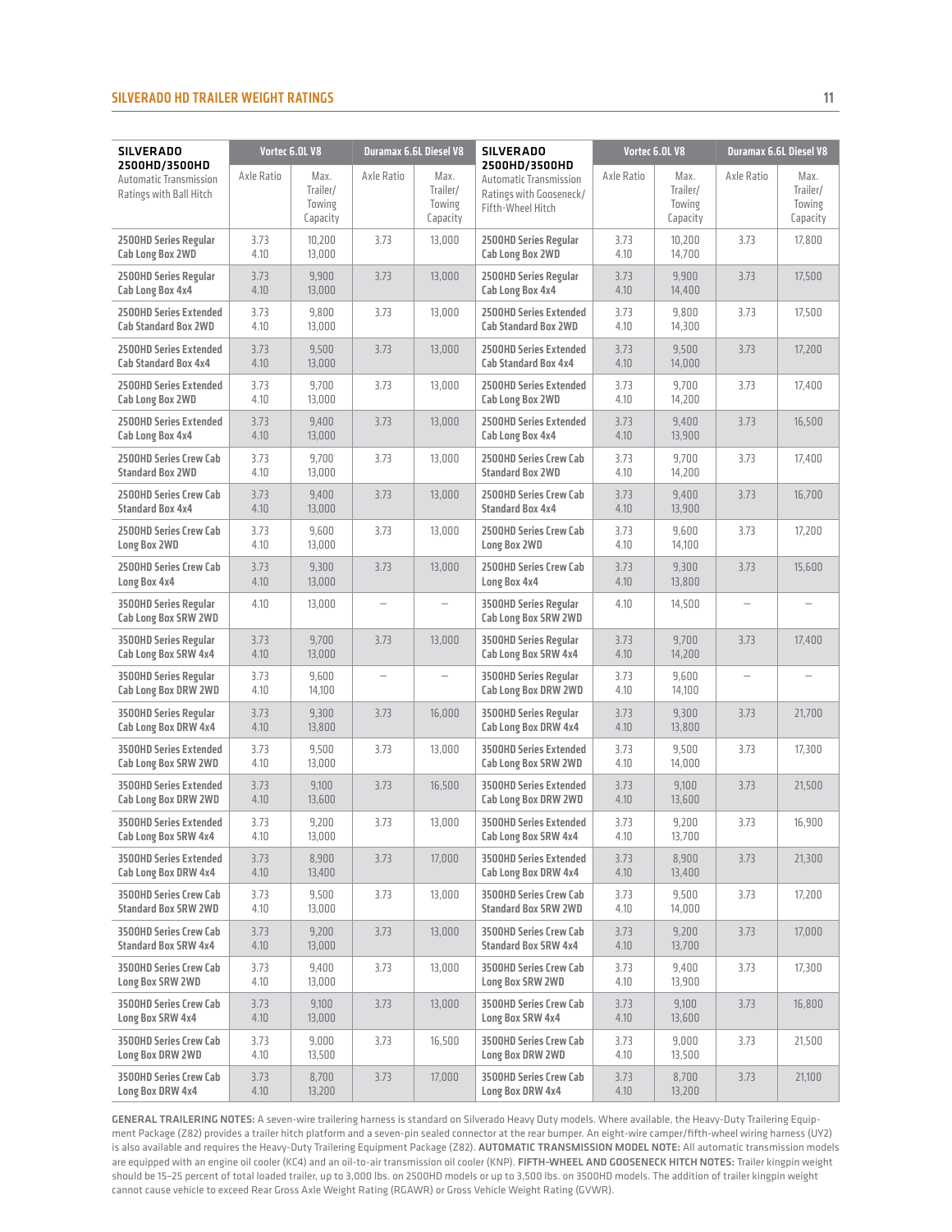## silverado HD Trailer weight ratings 11

| <b>SILVERADO</b>                                                   |              | Vortec 6.0L V8                         |                   | <b>Duramax 6.6L Diesel V8</b>          | <b>SILVERADO</b>                                                                        |              | Vortec 6.0L V8                         |                          | <b>Duramax 6.6L Diesel V8</b>          |
|--------------------------------------------------------------------|--------------|----------------------------------------|-------------------|----------------------------------------|-----------------------------------------------------------------------------------------|--------------|----------------------------------------|--------------------------|----------------------------------------|
| 2500HD/3500HD<br>Automatic Transmission<br>Ratings with Ball Hitch | Axle Ratio   | Max.<br>Trailer/<br>Towing<br>Capacity | Axle Ratio        | Max.<br>Trailer/<br>Towing<br>Capacity | 2500HD/3500HD<br>Automatic Transmission<br>Ratings with Gooseneck/<br>Fifth-Wheel Hitch | Axle Ratio   | Max.<br>Trailer/<br>Towing<br>Capacity | Axle Ratio               | Max.<br>Trailer/<br>Towing<br>Capacity |
| 2500HD Series Regular<br>Cab Long Box 2WD                          | 3.73<br>4.10 | 10,200<br>13,000                       | 3.73              | 13,000                                 | 2500HD Series Regular<br>Cab Long Box 2WD                                               | 3.73<br>4.10 | 10,200<br>14,700                       | 3.73                     | 17,800                                 |
| 2500HD Series Regular<br>Cab Long Box 4x4                          | 3.73<br>4.10 | 9,900<br>13,000                        | 3.73              | 13,000                                 | 2500HD Series Regular<br>Cab Long Box 4x4                                               | 3.73<br>4.10 | 9,900<br>14,400                        | 3.73                     | 17,500                                 |
| <b>2500HD Series Extended</b><br><b>Cab Standard Box 2WD</b>       | 3.73<br>4.10 | 9,800<br>13,000                        | 3.73              | 13,000                                 | 2500HD Series Extended<br><b>Cab Standard Box 2WD</b>                                   | 3.73<br>4.10 | 9,800<br>14,300                        | 3.73                     | 17,500                                 |
| <b>2500HD Series Extended</b><br><b>Cab Standard Box 4x4</b>       | 3.73<br>4.10 | 9,500<br>13,000                        | 3.73              | 13,000                                 | 2500HD Series Extended<br><b>Cab Standard Box 4x4</b>                                   | 3.73<br>4.10 | 9,500<br>14,000                        | 3.73                     | 17,200                                 |
| <b>2500HD Series Extended</b><br>Cab Long Box 2WD                  | 3.73<br>4.10 | 9,700<br>13,000                        | 3.73              | 13,000                                 | <b>2500HD Series Extended</b><br>Cab Long Box 2WD                                       | 3.73<br>4.10 | 9,700<br>14,200                        | 3.73                     | 17,400                                 |
| 2500HD Series Extended<br>Cab Long Box 4x4                         | 3.73<br>4.10 | 9,400<br>13,000                        | 3.73              | 13,000                                 | 2500HD Series Extended<br>Cab Long Box 4x4                                              | 3.73<br>4.10 | 9,400<br>13,900                        | 3.73                     | 16,500                                 |
| 2500HD Series Crew Cab<br><b>Standard Box 2WD</b>                  | 3.73<br>4.10 | 9,700<br>13,000                        | 3.73              | 13,000                                 | 2500HD Series Crew Cab<br><b>Standard Box 2WD</b>                                       | 3.73<br>4.10 | 9,700<br>14,200                        | 3.73                     | 17,400                                 |
| <b>2500HD Series Crew Cab</b><br><b>Standard Box 4x4</b>           | 3.73<br>4.10 | 9,400<br>13,000                        | 3.73              | 13,000                                 | 2500HD Series Crew Cab<br><b>Standard Box 4x4</b>                                       | 3.73<br>4.10 | 9,400<br>13,900                        | 3.73                     | 16,700                                 |
| 2500HD Series Crew Cab<br>Long Box 2WD                             | 3.73<br>4.10 | 9,600<br>13,000                        | 3.73              | 13,000                                 | 2500HD Series Crew Cab<br>Long Box 2WD                                                  | 3.73<br>4.10 | 9,600<br>14,100                        | 3.73                     | 17,200                                 |
| 2500HD Series Crew Cab<br>Long Box 4x4                             | 3.73<br>4.10 | 9,300<br>13,000                        | 3.73              | 13,000                                 | 2500HD Series Crew Cab<br>Long Box 4x4                                                  | 3.73<br>4.10 | 9,300<br>13,800                        | 3.73                     | 15,600                                 |
| <b>3500HD Series Regular</b><br>Cab Long Box SRW 2WD               | 4.10         | 13,000                                 | $\qquad \qquad -$ | $\overline{\phantom{0}}$               | <b>3500HD Series Regular</b><br>Cab Long Box SRW 2WD                                    | 4.10         | 14,500                                 | $\qquad \qquad -$        |                                        |
| <b>3500HD Series Regular</b><br>Cab Long Box SRW 4x4               | 3.73<br>4.10 | 9,700<br>13,000                        | 3.73              | 13,000                                 | <b>3500HD Series Regular</b><br>Cab Long Box SRW 4x4                                    | 3.73<br>4.10 | 9,700<br>14,200                        | 3.73                     | 17,400                                 |
| <b>3500HD Series Regular</b><br><b>Cab Long Box DRW 2WD</b>        | 3.73<br>4.10 | 9,600<br>14,100                        |                   |                                        | <b>3500HD Series Regular</b><br>Cab Long Box DRW 2WD                                    | 3.73<br>4.10 | 9,600<br>14,100                        | $\overline{\phantom{0}}$ |                                        |
| <b>3500HD Series Regular</b><br>Cab Long Box DRW 4x4               | 3.73<br>4.10 | 9,300<br>13,800                        | 3.73              | 16,000                                 | <b>3500HD Series Regular</b><br>Cab Long Box DRW 4x4                                    | 3.73<br>4.10 | 9,300<br>13,800                        | 3.73                     | 21,700                                 |
| <b>3500HD Series Extended</b><br>Cab Long Box SRW 2WD              | 3.73<br>4.10 | 9,500<br>13,000                        | 3.73              | 13,000                                 | <b>3500HD Series Extended</b><br>Cab Long Box SRW 2WD                                   | 3.73<br>4.10 | 9,500<br>14,000                        | 3.73                     | 17,300                                 |
| <b>3500HD Series Extended</b><br>Cab Long Box DRW 2WD              | 3.73<br>4.10 | 9,100<br>13,600                        | 3.73              | 16,500                                 | <b>3500HD Series Extended</b><br>Cab Long Box DRW 2WD                                   | 3.73<br>4.10 | 9,100<br>13,600                        | 3.73                     | 21,500                                 |
| <b>3500HD Series Extended</b><br>Cab Long Box SRW 4x4              | 3.73<br>4.10 | 9,200<br>13,000                        | 3.73              | 13,000                                 | <b>3500HD Series Extended</b><br>Cab Long Box SRW 4x4                                   | 3.73<br>4.10 | 9,200<br>13,700                        | 3.73                     | 16,900                                 |
| <b>3500HD Series Extended</b><br>Cab Long Box DRW 4x4              | 3.73<br>4.10 | 8,900<br>13,400                        | 3.73              | 17,000                                 | <b>3500HD Series Extended</b><br>Cab Long Box DRW 4x4                                   | 3.73<br>4.10 | 8,900<br>13,400                        | 3.73                     | 21,300                                 |
| <b>3500HD Series Crew Cab</b><br><b>Standard Box SRW 2WD</b>       | 3.73<br>4.10 | 9,500<br>13,000                        | 3.73              | 13,000                                 | <b>3500HD Series Crew Cab</b><br>Standard Box SRW 2WD                                   | 3.73<br>4.10 | 9,500<br>14,000                        | 3.73                     | 17,200                                 |
| <b>3500HD Series Crew Cab</b><br><b>Standard Box SRW 4x4</b>       | 3.73<br>4.10 | 9,200<br>13,000                        | 3.73              | 13,000                                 | <b>3500HD Series Crew Cab</b><br><b>Standard Box SRW 4x4</b>                            | 3.73<br>4.10 | 9,200<br>13,700                        | 3.73                     | 17,000                                 |
| <b>3500HD Series Crew Cab</b><br>Long Box SRW 2WD                  | 3.73<br>4.10 | 9,400<br>13,000                        | 3.73              | 13,000                                 | <b>3500HD Series Crew Cab</b><br>Long Box SRW 2WD                                       | 3.73<br>4.10 | 9,400<br>13,900                        | 3.73                     | 17,300                                 |
| <b>3500HD Series Crew Cab</b><br>Long Box SRW 4x4                  | 3.73<br>4.10 | 9,100<br>13,000                        | 3.73              | 13,000                                 | <b>3500HD Series Crew Cab</b><br>Long Box SRW 4x4                                       | 3.73<br>4.10 | 9,100<br>13,600                        | 3.73                     | 16,800                                 |
| <b>3500HD Series Crew Cab</b><br>Long Box DRW 2WD                  | 3.73<br>4.10 | 9,000<br>13,500                        | 3.73              | 16,500                                 | <b>3500HD Series Crew Cab</b><br>Long Box DRW 2WD                                       | 3.73<br>4.10 | 9,000<br>13,500                        | 3.73                     | 21,500                                 |
| <b>3500HD Series Crew Cab</b><br>Long Box DRW 4x4                  | 3.73<br>4.10 | 8,700<br>13,200                        | 3.73              | 17,000                                 | <b>3500HD Series Crew Cab</b><br>Long Box DRW 4x4                                       | 3.73<br>4.10 | 8,700<br>13,200                        | 3.73                     | 21,100                                 |

GENERAL TRAILERING NOTES: A seven-wire trailering harness is standard on Silverado Heavy Duty models. Where available, the Heavy-Duty Trailering Equipment Package (Z82) provides a trailer hitch platform and a seven-pin sealed connector at the rear bumper. An eight-wire camper/fifth-wheel wiring harness (UY2) is also available and requires the Heavy-Duty Trailering Equipment Package (Z82). AUTOMATIC TRANSMISSION MODEL NOTE: All automatic transmission models are equipped with an engine oil cooler (KC4) and an oil-to-air transmission oil cooler (KNP). FIFTH-WHEEL AND GOOSENECK HITCH NOTES: Trailer kingpin weight should be 15–25 percent of total loaded trailer, up to 3,000 lbs. on 2500HD models or up to 3,500 lbs. on 3500HD models. The addition of trailer kingpin weight cannot cause vehicle to exceed Rear Gross Axle Weight Rating (RGAWR) or Gross Vehicle Weight Rating (GVWR).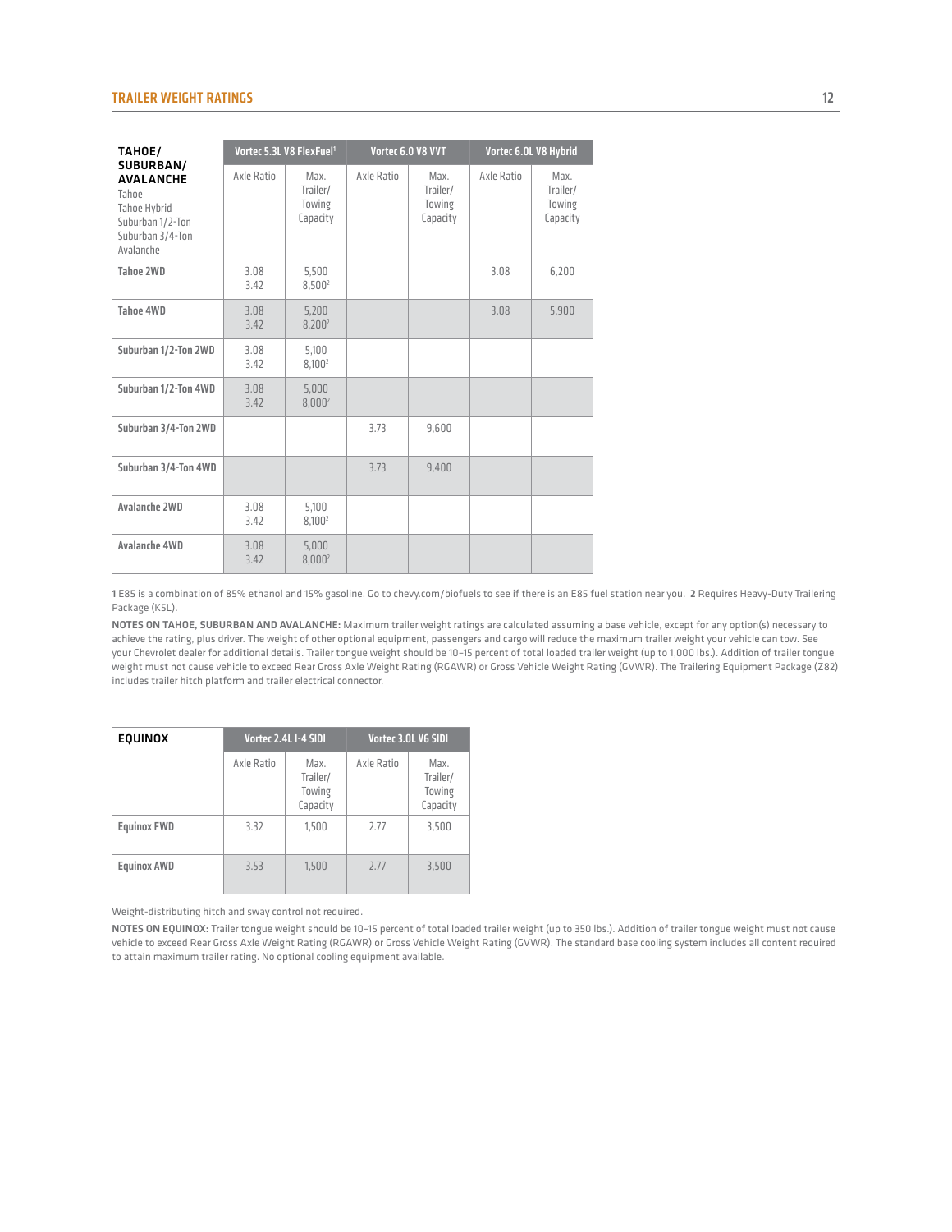| <b>TAHOE/</b>                                                                                               |              | Vortec 5.3L V8 FlexFuel <sup>1</sup>   |            | Vortec 6.0 V8 VVT                      | Vortec 6.0L V8 Hybrid |                                        |  |  |
|-------------------------------------------------------------------------------------------------------------|--------------|----------------------------------------|------------|----------------------------------------|-----------------------|----------------------------------------|--|--|
| SUBURBAN/<br><b>AVALANCHE</b><br>Tahoe<br>Tahoe Hybrid<br>Suburban 1/2-Ton<br>Suburban 3/4-Ton<br>Avalanche | Axle Ratio   | Max.<br>Trailer/<br>Towing<br>Capacity | Axle Ratio | Max.<br>Trailer/<br>Towing<br>Capacity | Axle Ratio            | Max.<br>Trailer/<br>Towing<br>Capacity |  |  |
| Tahoe 2WD                                                                                                   | 3.08<br>3.42 | 5.500<br>8,500 <sup>2</sup>            |            |                                        | 3.08                  | 6,200                                  |  |  |
| Tahoe 4WD                                                                                                   | 3.08<br>3.42 | 5,200<br>8.200 <sup>2</sup>            |            |                                        | 3.08                  | 5,900                                  |  |  |
| Suburban 1/2-Ton 2WD                                                                                        | 3.08<br>3.42 | 5.100<br>8.100 <sup>2</sup>            |            |                                        |                       |                                        |  |  |
| Suburban 1/2-Ton 4WD                                                                                        | 3.08<br>3.42 | 5.000<br>8,000 <sup>2</sup>            |            |                                        |                       |                                        |  |  |
| Suburban 3/4-Ton 2WD                                                                                        |              |                                        | 3.73       | 9,600                                  |                       |                                        |  |  |
| Suburban 3/4-Ton 4WD                                                                                        |              |                                        | 3.73       | 9,400                                  |                       |                                        |  |  |
| <b>Avalanche 2WD</b>                                                                                        | 3.08<br>3.42 | 5.100<br>8.100 <sup>2</sup>            |            |                                        |                       |                                        |  |  |
| Avalanche 4WD                                                                                               | 3.08<br>3.42 | 5.000<br>8,000 <sup>2</sup>            |            |                                        |                       |                                        |  |  |

1 E85 is a combination of 85% ethanol and 15% gasoline. Go to chevy.com/biofuels to see if there is an E85 fuel station near you. 2 Requires Heavy-Duty Trailering Package (K5L).

Notes ON TAHOE, SUBURBAN AND AVALANCHE: Maximum trailer weight ratings are calculated assuming a base vehicle, except for any option(s) necessary to achieve the rating, plus driver. The weight of other optional equipment, passengers and cargo will reduce the maximum trailer weight your vehicle can tow. See your Chevrolet dealer for additional details. Trailer tongue weight should be 10–15 percent of total loaded trailer weight (up to 1,000 lbs.). Addition of trailer tongue weight must not cause vehicle to exceed Rear Gross Axle Weight Rating (RGAWR) or Gross Vehicle Weight Rating (GVWR). The Trailering Equipment Package (Z82) includes trailer hitch platform and trailer electrical connector.

| <b>EQUINOX</b>     |            | Vortec 2.4L I-4 SIDI                   | Vortec 3.0L V6 SIDI |                                        |  |  |
|--------------------|------------|----------------------------------------|---------------------|----------------------------------------|--|--|
|                    | Axle Ratio | Max.<br>Trailer/<br>Towing<br>Capacity | Axle Ratio          | Max.<br>Trailer/<br>Towing<br>Capacity |  |  |
| <b>Equinox FWD</b> | 3.32       | 1,500                                  | 2.77                | 3,500                                  |  |  |
| <b>Equinox AWD</b> | 3.53       | 1.500                                  | 2.77                | 3.500                                  |  |  |

Weight-distributing hitch and sway control not required.

NOTES ON EQUINOX: Trailer tongue weight should be 10-15 percent of total loaded trailer weight (up to 350 lbs.). Addition of trailer tongue weight must not cause vehicle to exceed Rear Gross Axle Weight Rating (RGAWR) or Gross Vehicle Weight Rating (GVWR). The standard base cooling system includes all content required to attain maximum trailer rating. No optional cooling equipment available.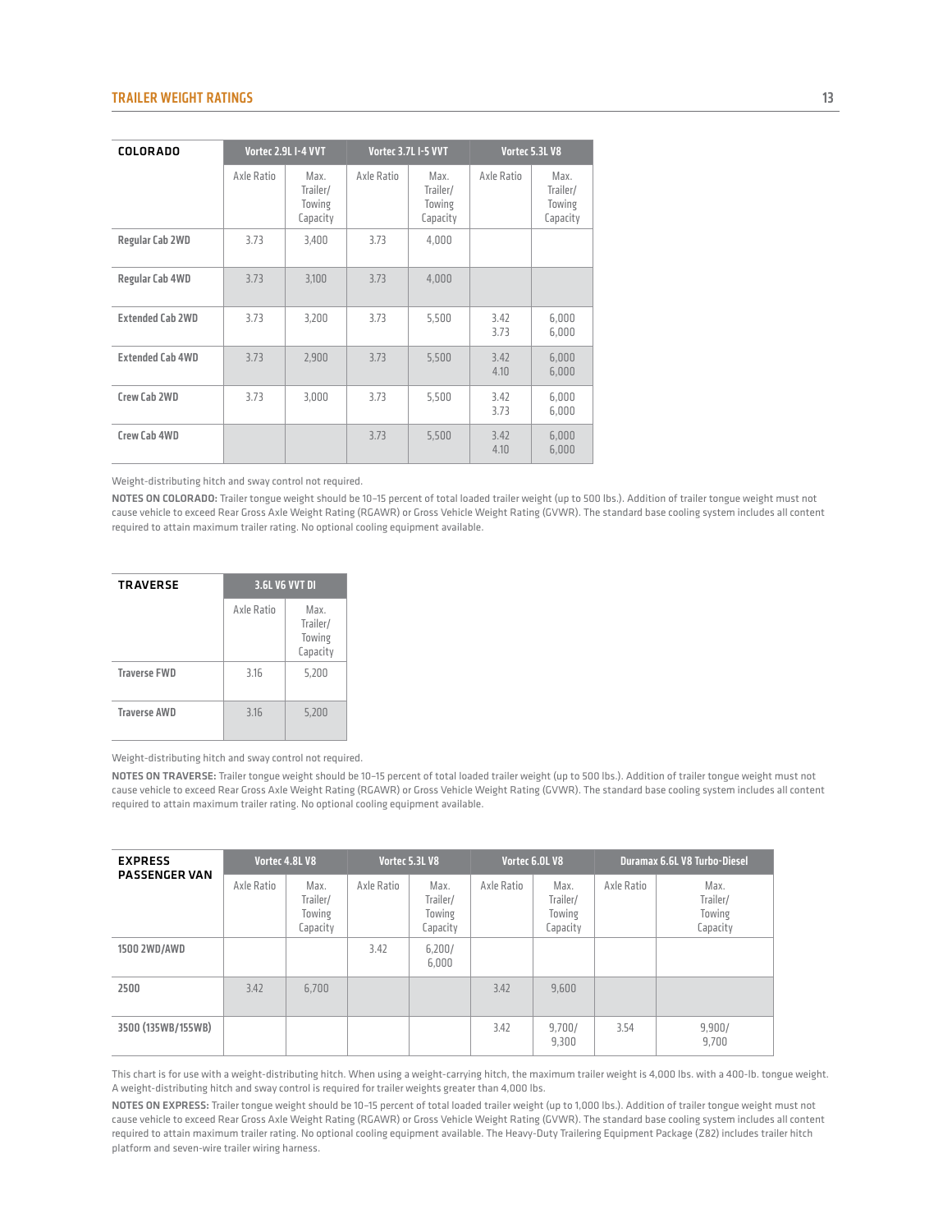| <b>COLORADO</b>         |            | Vortec 2.9L I-4 VVT                    |            | Vortec 3.7L I-5 VVT                    |              | Vortec 5.3L V8                         |
|-------------------------|------------|----------------------------------------|------------|----------------------------------------|--------------|----------------------------------------|
|                         | Axle Ratio | Max.<br>Trailer/<br>Towing<br>Capacity | Axle Ratio | Max.<br>Trailer/<br>Towing<br>Capacity | Axle Ratio   | Max.<br>Trailer/<br>Towing<br>Capacity |
| Regular Cab 2WD         | 3.73       | 3.400                                  | 3.73       | 4.000                                  |              |                                        |
| Regular Cab 4WD         | 3.73       | 3,100                                  | 3.73       | 4,000                                  |              |                                        |
| <b>Extended Cab 2WD</b> | 3.73       | 3.200                                  | 3.73       | 5.500                                  | 3.42<br>3.73 | 6,000<br>6,000                         |
| <b>Extended Cab 4WD</b> | 3.73       | 2,900                                  | 3.73       | 5,500                                  | 3.42<br>4.10 | 6,000<br>6,000                         |
| Crew Cab 2WD            | 3.73       | 3,000                                  | 3.73       | 5,500                                  | 3.42<br>3.73 | 6,000<br>6,000                         |
| Crew Cab 4WD            |            |                                        | 3.73       | 5,500                                  | 3.42<br>4.10 | 6,000<br>6,000                         |

Weight-distributing hitch and sway control not required.

NOTES ON COLORADO: Trailer tongue weight should be 10-15 percent of total loaded trailer weight (up to 500 lbs.). Addition of trailer tongue weight must not cause vehicle to exceed Rear Gross Axle Weight Rating (RGAWR) or Gross Vehicle Weight Rating (GVWR). The standard base cooling system includes all content required to attain maximum trailer rating. No optional cooling equipment available.

| <b>TRAVERSE</b>     | <b>3.6L V6 VVT DI</b> |                                        |
|---------------------|-----------------------|----------------------------------------|
|                     | Axle Ratio            | Max.<br>Trailer/<br>Towing<br>Capacity |
| <b>Traverse FWD</b> | 3.16                  | 5,200                                  |
| <b>Traverse AWD</b> | 3.16                  | 5,200                                  |

Weight-distributing hitch and sway control not required.

NOTES ON TRAVERSE: Trailer tongue weight should be 10-15 percent of total loaded trailer weight (up to 500 lbs.). Addition of trailer tongue weight must not cause vehicle to exceed Rear Gross Axle Weight Rating (RGAWR) or Gross Vehicle Weight Rating (GVWR). The standard base cooling system includes all content required to attain maximum trailer rating. No optional cooling equipment available.

| <b>EXPRESS</b><br><b>PASSENGER VAN</b> | Vortec 4.8L V8 |                                        | Vortec 5.3L V8 |                                        | Vortec 6.0L V8 |                                        | Duramax 6.6L V8 Turbo-Diesel |                                        |
|----------------------------------------|----------------|----------------------------------------|----------------|----------------------------------------|----------------|----------------------------------------|------------------------------|----------------------------------------|
|                                        | Axle Ratio     | Max.<br>Trailer/<br>Towing<br>Capacity | Axle Ratio     | Max.<br>Trailer/<br>Towing<br>Capacity | Axle Ratio     | Max.<br>Trailer/<br>Towing<br>Capacity | Axle Ratio                   | Max.<br>Trailer/<br>Towing<br>Capacity |
| 1500 2WD/AWD                           |                |                                        | 3.42           | 6,200/<br>6,000                        |                |                                        |                              |                                        |
| 2500                                   | 3.42           | 6.700                                  |                |                                        | 3.42           | 9.600                                  |                              |                                        |
| 3500 (135WB/155WB)                     |                |                                        |                |                                        | 3.42           | 9,700/<br>9.300                        | 3.54                         | 9,900/<br>9.700                        |

This chart is for use with a weight-distributing hitch. When using a weight-carrying hitch, the maximum trailer weight is 4,000 lbs. with a 400-lb. tongue weight. A weight-distributing hitch and sway control is required for trailer weights greater than 4,000 lbs.

NOTES ON EXPRESS: Trailer tongue weight should be 10-15 percent of total loaded trailer weight (up to 1,000 lbs.). Addition of trailer tongue weight must not cause vehicle to exceed Rear Gross Axle Weight Rating (RGAWR) or Gross Vehicle Weight Rating (GVWR). The standard base cooling system includes all content required to attain maximum trailer rating. No optional cooling equipment available. The Heavy-Duty Trailering Equipment Package (Z82) includes trailer hitch platform and seven-wire trailer wiring harness.